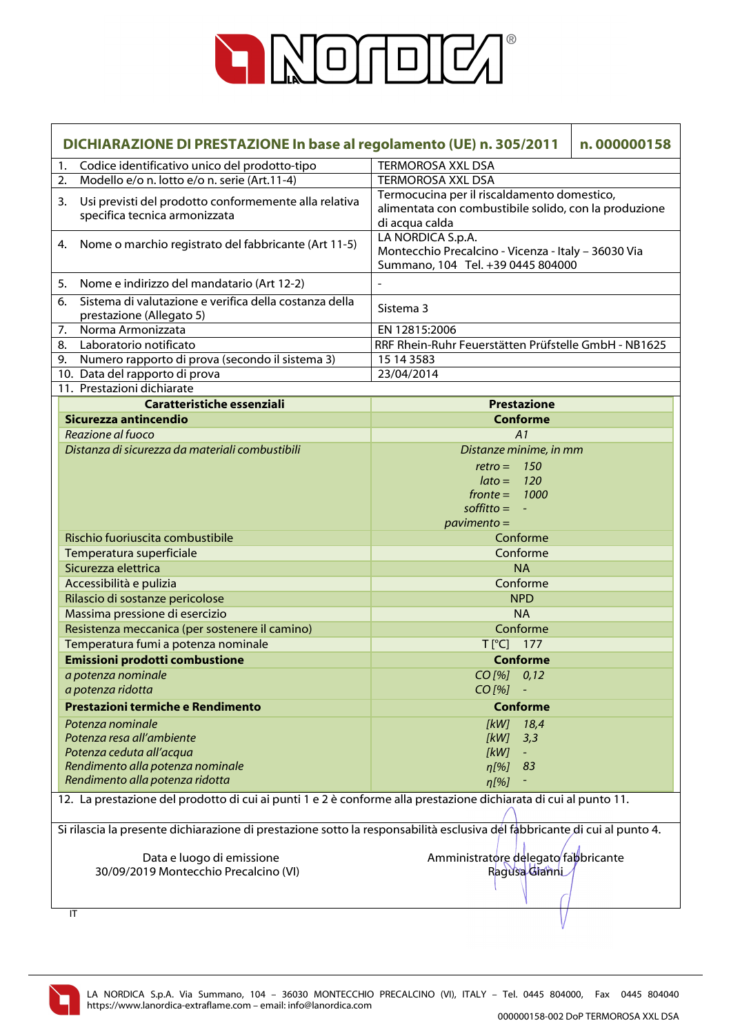

|    | DICHIARAZIONE DI PRESTAZIONE In base al regolamento (UE) n. 305/2011<br>n.000000158                                       |                                                                                                                        |  |  |
|----|---------------------------------------------------------------------------------------------------------------------------|------------------------------------------------------------------------------------------------------------------------|--|--|
| 1. | Codice identificativo unico del prodotto-tipo                                                                             | <b>TERMOROSA XXL DSA</b>                                                                                               |  |  |
| 2. | Modello e/o n. lotto e/o n. serie (Art.11-4)                                                                              | <b>TERMOROSA XXL DSA</b>                                                                                               |  |  |
| 3. | Usi previsti del prodotto conformemente alla relativa<br>specifica tecnica armonizzata                                    | Termocucina per il riscaldamento domestico,<br>alimentata con combustibile solido, con la produzione<br>di acqua calda |  |  |
| 4. | Nome o marchio registrato del fabbricante (Art 11-5)                                                                      | LA NORDICA S.p.A.<br>Montecchio Precalcino - Vicenza - Italy - 36030 Via<br>Summano, 104 Tel. +39 0445 804000          |  |  |
| 5. | Nome e indirizzo del mandatario (Art 12-2)                                                                                |                                                                                                                        |  |  |
| 6. | Sistema di valutazione e verifica della costanza della<br>prestazione (Allegato 5)                                        | Sistema 3                                                                                                              |  |  |
| 7. | Norma Armonizzata                                                                                                         | EN 12815:2006                                                                                                          |  |  |
| 8. | Laboratorio notificato                                                                                                    | RRF Rhein-Ruhr Feuerstätten Prüfstelle GmbH - NB1625                                                                   |  |  |
| 9. | Numero rapporto di prova (secondo il sistema 3)                                                                           | 15 14 3583                                                                                                             |  |  |
|    | 10. Data del rapporto di prova                                                                                            | 23/04/2014                                                                                                             |  |  |
|    | 11. Prestazioni dichiarate                                                                                                |                                                                                                                        |  |  |
|    | Caratteristiche essenziali                                                                                                | <b>Prestazione</b>                                                                                                     |  |  |
|    | Sicurezza antincendio                                                                                                     | <b>Conforme</b>                                                                                                        |  |  |
|    | Reazione al fuoco                                                                                                         | A1                                                                                                                     |  |  |
|    | Distanza di sicurezza da materiali combustibili                                                                           | Distanze minime, in mm                                                                                                 |  |  |
|    |                                                                                                                           | $retro =$<br>150                                                                                                       |  |  |
|    |                                                                                                                           | $\text{lato} =$<br>120                                                                                                 |  |  |
|    |                                                                                                                           | $fronte =$<br>1000<br>$\text{soft}$ it to $=$                                                                          |  |  |
|    |                                                                                                                           | $pavimento =$                                                                                                          |  |  |
|    | Rischio fuoriuscita combustibile                                                                                          | Conforme                                                                                                               |  |  |
|    | Temperatura superficiale                                                                                                  | Conforme                                                                                                               |  |  |
|    | Sicurezza elettrica                                                                                                       | <b>NA</b>                                                                                                              |  |  |
|    | Accessibilità e pulizia                                                                                                   | Conforme                                                                                                               |  |  |
|    | Rilascio di sostanze pericolose                                                                                           | <b>NPD</b>                                                                                                             |  |  |
|    | Massima pressione di esercizio                                                                                            | <b>NA</b>                                                                                                              |  |  |
|    | Resistenza meccanica (per sostenere il camino)                                                                            | Conforme                                                                                                               |  |  |
|    | Temperatura fumi a potenza nominale                                                                                       | T [°C] 177                                                                                                             |  |  |
|    | <b>Emissioni prodotti combustione</b>                                                                                     | <b>Conforme</b>                                                                                                        |  |  |
|    | a potenza nominale                                                                                                        | CO[%] 0,12                                                                                                             |  |  |
|    | a potenza ridotta                                                                                                         | $CO [%] -$                                                                                                             |  |  |
|    | Prestazioni termiche e Rendimento                                                                                         | <b>Conforme</b>                                                                                                        |  |  |
|    | Potenza nominale                                                                                                          | [kW]<br>18,4                                                                                                           |  |  |
|    | Potenza resa all'ambiente                                                                                                 | [kW]<br>3,3                                                                                                            |  |  |
|    | Potenza ceduta all'acqua                                                                                                  | [kW]                                                                                                                   |  |  |
|    | Rendimento alla potenza nominale                                                                                          | $\eta$ [%]<br>83                                                                                                       |  |  |
|    | Rendimento alla potenza ridotta                                                                                           | $\eta$ [%]                                                                                                             |  |  |
|    | 12. La prestazione del prodotto di cui ai punti 1 e 2 è conforme alla prestazione dichiarata di cui al punto 11.          |                                                                                                                        |  |  |
|    | Si rilascia la presente dichiarazione di prestazione sotto la responsabilità esclusiva del fabbricante di cui al punto 4. |                                                                                                                        |  |  |
|    | Data e luogo di emissione<br>30/09/2019 Montecchio Precalcino (VI)                                                        | Amministratore delegato fabbricante<br>Ragusa Gianni                                                                   |  |  |
|    | IT                                                                                                                        |                                                                                                                        |  |  |

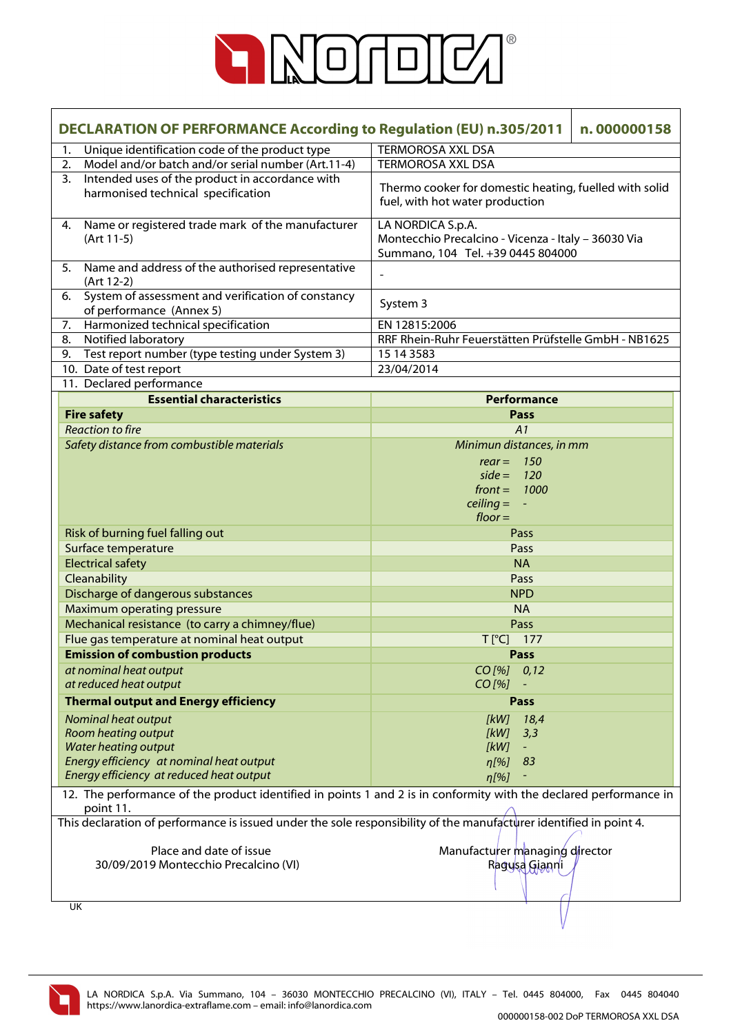

| <b>DECLARATION OF PERFORMANCE According to Regulation (EU) n.305/2011</b><br>n.000000158                                       |                                                                                                               |  |
|--------------------------------------------------------------------------------------------------------------------------------|---------------------------------------------------------------------------------------------------------------|--|
| Unique identification code of the product type<br>1.                                                                           | <b>TERMOROSA XXL DSA</b>                                                                                      |  |
| Model and/or batch and/or serial number (Art.11-4)<br>2.                                                                       | <b>TERMOROSA XXL DSA</b>                                                                                      |  |
| Intended uses of the product in accordance with<br>3 <sub>1</sub><br>harmonised technical specification                        | Thermo cooker for domestic heating, fuelled with solid<br>fuel, with hot water production                     |  |
| Name or registered trade mark of the manufacturer<br>4.<br>$(Art 11-5)$                                                        | LA NORDICA S.p.A.<br>Montecchio Precalcino - Vicenza - Italy - 36030 Via<br>Summano, 104 Tel. +39 0445 804000 |  |
| Name and address of the authorised representative<br>5.<br>(Art 12-2)                                                          | $\overline{\phantom{a}}$                                                                                      |  |
| System of assessment and verification of constancy<br>6.<br>of performance (Annex 5)                                           | System 3                                                                                                      |  |
| Harmonized technical specification<br>7.                                                                                       | EN 12815:2006                                                                                                 |  |
| Notified laboratory<br>8.                                                                                                      | RRF Rhein-Ruhr Feuerstätten Prüfstelle GmbH - NB1625                                                          |  |
| Test report number (type testing under System 3)<br>9.                                                                         | 15 14 35 83                                                                                                   |  |
| 10. Date of test report                                                                                                        | 23/04/2014                                                                                                    |  |
| 11. Declared performance                                                                                                       |                                                                                                               |  |
| <b>Essential characteristics</b>                                                                                               | Performance                                                                                                   |  |
| <b>Fire safety</b>                                                                                                             | <b>Pass</b>                                                                                                   |  |
| <b>Reaction to fire</b>                                                                                                        | A1                                                                                                            |  |
| Safety distance from combustible materials                                                                                     | Minimun distances, in mm                                                                                      |  |
|                                                                                                                                | $rear = 150$                                                                                                  |  |
|                                                                                                                                | $side = 120$                                                                                                  |  |
|                                                                                                                                | $front =$<br>1000                                                                                             |  |
|                                                                                                                                | $\text{ceiling} = -$<br>$floor =$                                                                             |  |
| Risk of burning fuel falling out                                                                                               | Pass                                                                                                          |  |
| Surface temperature                                                                                                            | Pass                                                                                                          |  |
| <b>Electrical safety</b>                                                                                                       | <b>NA</b>                                                                                                     |  |
| Cleanability                                                                                                                   | Pass                                                                                                          |  |
| Discharge of dangerous substances                                                                                              | <b>NPD</b>                                                                                                    |  |
| Maximum operating pressure                                                                                                     | <b>NA</b>                                                                                                     |  |
| Mechanical resistance (to carry a chimney/flue)                                                                                | Pass                                                                                                          |  |
| Flue gas temperature at nominal heat output                                                                                    | $T[^{\circ}C]$<br>177                                                                                         |  |
| <b>Emission of combustion products</b>                                                                                         | <b>Pass</b>                                                                                                   |  |
| at nominal heat output                                                                                                         | $CO$ [%]<br>0,12                                                                                              |  |
| at reduced heat output                                                                                                         | $CO$ [%]                                                                                                      |  |
| <b>Thermal output and Energy efficiency</b>                                                                                    | Pass                                                                                                          |  |
| Nominal heat output                                                                                                            | [kW]<br>18,4                                                                                                  |  |
| Room heating output                                                                                                            | [kW]<br>3,3                                                                                                   |  |
| <b>Water heating output</b>                                                                                                    | [kW]<br>$\blacksquare$                                                                                        |  |
| Energy efficiency at nominal heat output                                                                                       | 83<br>$\eta$ [%]                                                                                              |  |
| Energy efficiency at reduced heat output                                                                                       | $\eta$ [%]                                                                                                    |  |
| 12. The performance of the product identified in points 1 and 2 is in conformity with the declared performance in<br>point 11. |                                                                                                               |  |
| This declaration of performance is issued under the sole responsibility of the manufacturer identified in point 4.             |                                                                                                               |  |
| Place and date of issue                                                                                                        | Manufacturer managing director                                                                                |  |
| 30/09/2019 Montecchio Precalcino (VI)                                                                                          | Ragusa Gianni                                                                                                 |  |
|                                                                                                                                |                                                                                                               |  |
| UK                                                                                                                             |                                                                                                               |  |

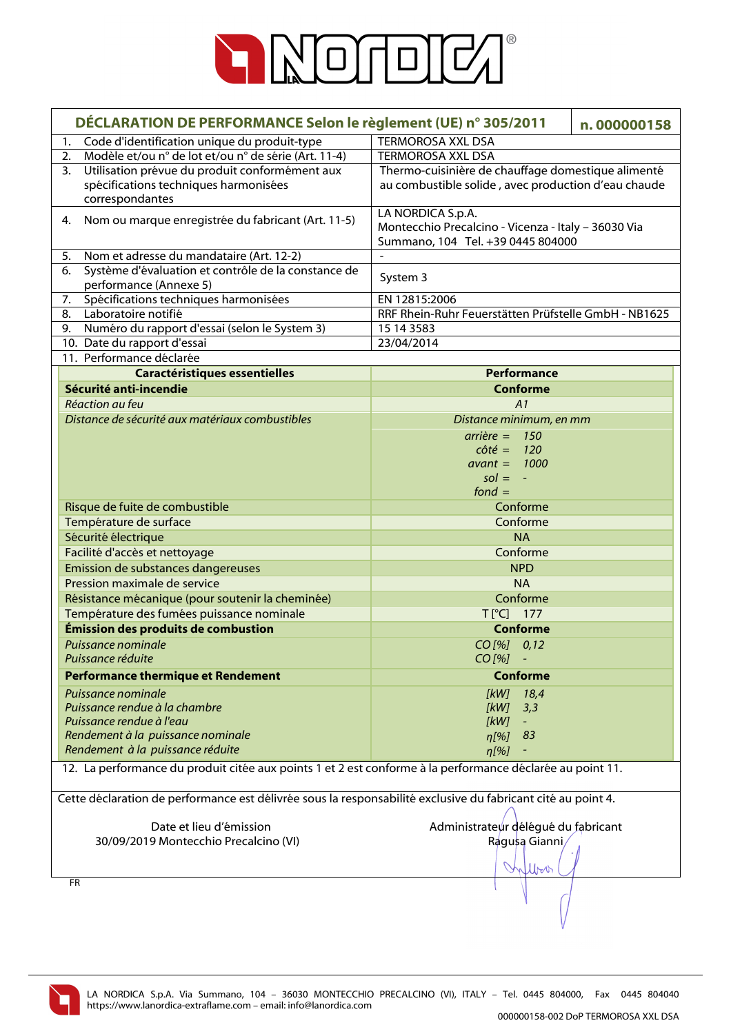

|           | DÉCLARATION DE PERFORMANCE Selon le règlement (UE) n° 305/2011                                               |                                                      | n.000000158 |
|-----------|--------------------------------------------------------------------------------------------------------------|------------------------------------------------------|-------------|
| 1.        | Code d'identification unique du produit-type                                                                 | <b>TERMOROSA XXL DSA</b>                             |             |
| 2.        | Modèle et/ou n° de lot et/ou n° de série (Art. 11-4)                                                         | <b>TERMOROSA XXL DSA</b>                             |             |
| 3.        | Utilisation prévue du produit conformément aux                                                               | Thermo-cuisinière de chauffage domestique alimenté   |             |
|           | spécifications techniques harmonisées                                                                        | au combustible solide, avec production d'eau chaude  |             |
|           | correspondantes                                                                                              |                                                      |             |
| 4.        | Nom ou marque enregistrée du fabricant (Art. 11-5)                                                           | LA NORDICA S.p.A.                                    |             |
|           |                                                                                                              | Montecchio Precalcino - Vicenza - Italy - 36030 Via  |             |
|           | Nom et adresse du mandataire (Art. 12-2)                                                                     | Summano, 104 Tel. +39 0445 804000                    |             |
| 5.<br>6.  | Système d'évaluation et contrôle de la constance de                                                          |                                                      |             |
|           | performance (Annexe 5)                                                                                       | System 3                                             |             |
| 7.        | Spécifications techniques harmonisées                                                                        | EN 12815:2006                                        |             |
| 8.        | Laboratoire notifié                                                                                          | RRF Rhein-Ruhr Feuerstätten Prüfstelle GmbH - NB1625 |             |
| 9.        | Numéro du rapport d'essai (selon le System 3)                                                                | 15 14 3583                                           |             |
|           | 10. Date du rapport d'essai                                                                                  | 23/04/2014                                           |             |
|           | 11. Performance déclarée                                                                                     |                                                      |             |
|           | <b>Caractéristiques essentielles</b>                                                                         | Performance                                          |             |
|           | Sécurité anti-incendie                                                                                       | <b>Conforme</b>                                      |             |
|           | Réaction au feu                                                                                              | A1                                                   |             |
|           | Distance de sécurité aux matériaux combustibles                                                              | Distance minimum, en mm                              |             |
|           |                                                                                                              | $arrière = 150$                                      |             |
|           |                                                                                                              | $c \hat{o} t \hat{e} = 120$                          |             |
|           |                                                                                                              | $avant = 1000$                                       |             |
|           |                                                                                                              | $sol = -$                                            |             |
|           |                                                                                                              | fond $=$                                             |             |
|           | Risque de fuite de combustible                                                                               | Conforme                                             |             |
|           | Température de surface                                                                                       | Conforme                                             |             |
|           | Sécurité électrique                                                                                          | <b>NA</b>                                            |             |
|           | Facilité d'accès et nettoyage                                                                                | Conforme                                             |             |
|           | Emission de substances dangereuses                                                                           | <b>NPD</b>                                           |             |
|           | Pression maximale de service                                                                                 | <b>NA</b>                                            |             |
|           | Résistance mécanique (pour soutenir la cheminée)                                                             | Conforme                                             |             |
|           | Température des fumées puissance nominale                                                                    | T[°C] 177                                            |             |
|           | Émission des produits de combustion                                                                          | <b>Conforme</b>                                      |             |
|           | Puissance nominale<br>Puissance réduite                                                                      | $CO$ [%] $0,12$                                      |             |
|           |                                                                                                              | CO [%]                                               |             |
|           | <b>Performance thermique et Rendement</b>                                                                    | <b>Conforme</b>                                      |             |
|           | Puissance nominale                                                                                           | [kW]<br>18,4                                         |             |
|           | Puissance rendue à la chambre                                                                                | [kW]<br>3,3                                          |             |
|           | Puissance rendue à l'eau<br>Rendement à la puissance nominale                                                | [kW]                                                 |             |
|           | Rendement à la puissance réduite                                                                             | n[%]<br>83                                           |             |
|           |                                                                                                              | n[%]                                                 |             |
|           | 12. La performance du produit citée aux points 1 et 2 est conforme à la performance déclarée au point 11.    |                                                      |             |
|           | Cette déclaration de performance est délivrée sous la responsabilité exclusive du fabricant cité au point 4. |                                                      |             |
|           |                                                                                                              |                                                      |             |
|           | Date et lieu d'émission                                                                                      | Administrateur délégué du fabricant                  |             |
|           | 30/09/2019 Montecchio Precalcino (VI)                                                                        | Ragusa Gianni,                                       |             |
|           |                                                                                                              |                                                      |             |
|           |                                                                                                              | William                                              |             |
| <b>FR</b> |                                                                                                              |                                                      |             |
|           |                                                                                                              |                                                      |             |
|           |                                                                                                              |                                                      |             |

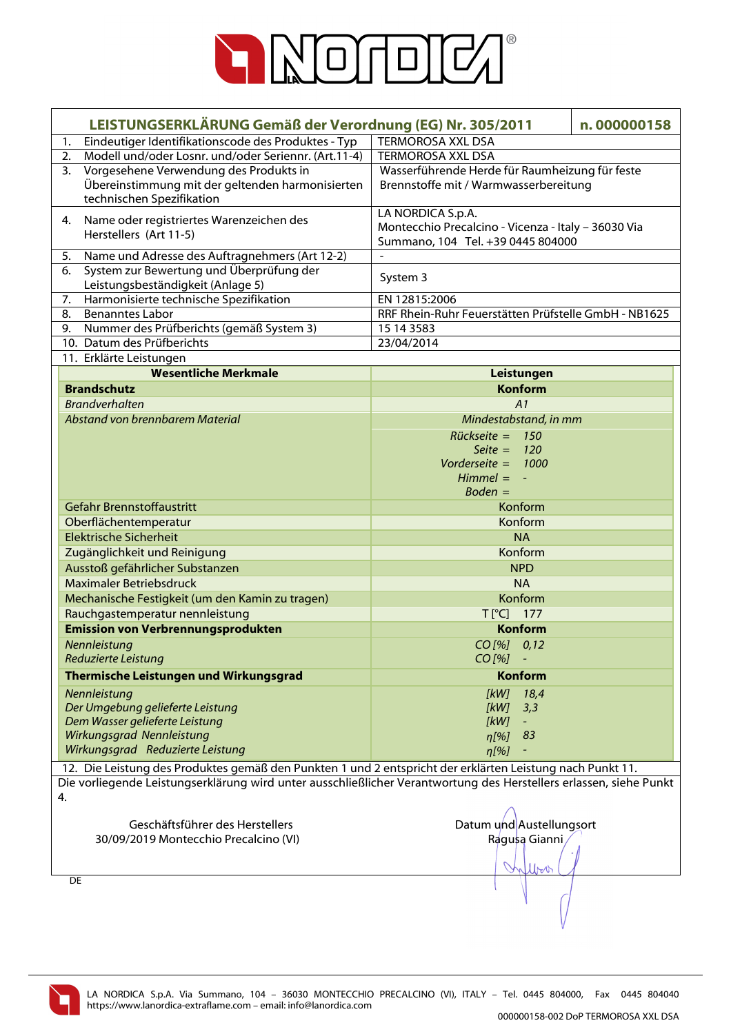

| LEISTUNGSERKLÄRUNG Gemäß der Verordnung (EG) Nr. 305/2011                                                          | n.000000158                                                                              |  |
|--------------------------------------------------------------------------------------------------------------------|------------------------------------------------------------------------------------------|--|
| Eindeutiger Identifikationscode des Produktes - Typ<br>1.                                                          | <b>TERMOROSA XXL DSA</b>                                                                 |  |
| 2.<br>Modell und/oder Losnr. und/oder Seriennr. (Art.11-4)                                                         | <b>TERMOROSA XXL DSA</b>                                                                 |  |
| 3.<br>Vorgesehene Verwendung des Produkts in                                                                       | Wasserführende Herde für Raumheizung für feste                                           |  |
| Übereinstimmung mit der geltenden harmonisierten                                                                   | Brennstoffe mit / Warmwasserbereitung                                                    |  |
| technischen Spezifikation                                                                                          |                                                                                          |  |
| Name oder registriertes Warenzeichen des<br>4.                                                                     | LA NORDICA S.p.A.                                                                        |  |
| Herstellers (Art 11-5)                                                                                             | Montecchio Precalcino - Vicenza - Italy - 36030 Via<br>Summano, 104 Tel. +39 0445 804000 |  |
| 5.<br>Name und Adresse des Auftragnehmers (Art 12-2)                                                               |                                                                                          |  |
| System zur Bewertung und Überprüfung der<br>6.                                                                     |                                                                                          |  |
| Leistungsbeständigkeit (Anlage 5)                                                                                  | System 3                                                                                 |  |
| Harmonisierte technische Spezifikation<br>7.                                                                       | EN 12815:2006                                                                            |  |
| <b>Benanntes Labor</b><br>8.                                                                                       | RRF Rhein-Ruhr Feuerstätten Prüfstelle GmbH - NB1625                                     |  |
| Nummer des Prüfberichts (gemäß System 3)<br>9.                                                                     | 15 14 3583                                                                               |  |
| 10. Datum des Prüfberichts                                                                                         | 23/04/2014                                                                               |  |
| 11. Erklärte Leistungen                                                                                            |                                                                                          |  |
| <b>Wesentliche Merkmale</b>                                                                                        | Leistungen                                                                               |  |
| <b>Brandschutz</b>                                                                                                 | <b>Konform</b>                                                                           |  |
| <b>Brandverhalten</b>                                                                                              | A1                                                                                       |  |
| Abstand von brennbarem Material                                                                                    | Mindestabstand, in mm                                                                    |  |
|                                                                                                                    | $Rückseite = 150$                                                                        |  |
|                                                                                                                    | Seite = $120$                                                                            |  |
|                                                                                                                    | Vorderseite = $1000$                                                                     |  |
|                                                                                                                    | $Himmel = -$                                                                             |  |
|                                                                                                                    | $Boden =$                                                                                |  |
| <b>Gefahr Brennstoffaustritt</b>                                                                                   | Konform                                                                                  |  |
| Oberflächentemperatur                                                                                              | Konform                                                                                  |  |
| <b>Elektrische Sicherheit</b>                                                                                      | <b>NA</b>                                                                                |  |
| Zugänglichkeit und Reinigung                                                                                       | Konform                                                                                  |  |
| Ausstoß gefährlicher Substanzen                                                                                    | <b>NPD</b>                                                                               |  |
| Maximaler Betriebsdruck                                                                                            | <b>NA</b>                                                                                |  |
| Mechanische Festigkeit (um den Kamin zu tragen)                                                                    | Konform                                                                                  |  |
| Rauchgastemperatur nennleistung                                                                                    | $T[^{\circ}C]$ 177                                                                       |  |
| <b>Emission von Verbrennungsprodukten</b>                                                                          | <b>Konform</b>                                                                           |  |
| Nennleistung                                                                                                       | $CO$ [%] $0,12$                                                                          |  |
| Reduzierte Leistung                                                                                                | $CO [%] -$                                                                               |  |
| Thermische Leistungen und Wirkungsgrad                                                                             | <b>Konform</b>                                                                           |  |
| Nennleistung                                                                                                       | $[kW]$ 18,4                                                                              |  |
| Der Umgebung gelieferte Leistung                                                                                   | [kW]<br>3,3                                                                              |  |
| Dem Wasser gelieferte Leistung                                                                                     | [kW]<br>$\equiv$                                                                         |  |
| Wirkungsgrad Nennleistung                                                                                          | $\eta$ [%] 83                                                                            |  |
| Wirkungsgrad Reduzierte Leistung                                                                                   | $\eta$ [%]                                                                               |  |
| 12. Die Leistung des Produktes gemäß den Punkten 1 und 2 entspricht der erklärten Leistung nach Punkt 11.          |                                                                                          |  |
| Die vorliegende Leistungserklärung wird unter ausschließlicher Verantwortung des Herstellers erlassen, siehe Punkt |                                                                                          |  |
| 4.                                                                                                                 |                                                                                          |  |
| Geschäftsführer des Herstellers                                                                                    | Datum und Austellungsort                                                                 |  |
| 30/09/2019 Montecchio Precalcino (VI)                                                                              | Ragusa Gianni                                                                            |  |
|                                                                                                                    |                                                                                          |  |
|                                                                                                                    | Wro                                                                                      |  |
| DE                                                                                                                 |                                                                                          |  |
|                                                                                                                    |                                                                                          |  |
|                                                                                                                    |                                                                                          |  |
|                                                                                                                    |                                                                                          |  |

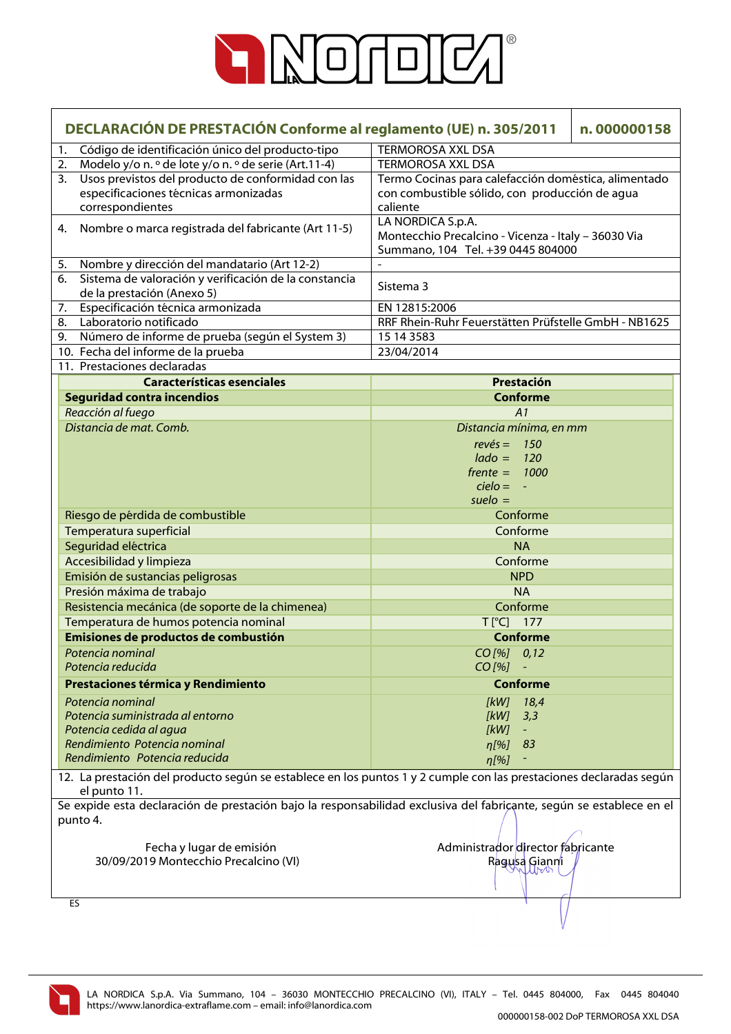

| DECLARACIÓN DE PRESTACIÓN Conforme al reglamento (UE) n. 305/2011 |                                                                                                                                     |                                                                                                               | n.000000158 |
|-------------------------------------------------------------------|-------------------------------------------------------------------------------------------------------------------------------------|---------------------------------------------------------------------------------------------------------------|-------------|
| 1.                                                                | Código de identificación único del producto-tipo                                                                                    | <b>TERMOROSA XXL DSA</b>                                                                                      |             |
| 2.                                                                | Modelo y/o n. º de lote y/o n. º de serie (Art.11-4)                                                                                | <b>TERMOROSA XXL DSA</b>                                                                                      |             |
| 3.                                                                | Usos previstos del producto de conformidad con las                                                                                  | Termo Cocinas para calefacción doméstica, alimentado                                                          |             |
|                                                                   | especificaciones técnicas armonizadas                                                                                               | con combustible sólido, con producción de agua                                                                |             |
|                                                                   | correspondientes                                                                                                                    | caliente                                                                                                      |             |
| 4.                                                                | Nombre o marca registrada del fabricante (Art 11-5)                                                                                 | LA NORDICA S.p.A.<br>Montecchio Precalcino - Vicenza - Italy - 36030 Via<br>Summano, 104 Tel. +39 0445 804000 |             |
| 5.                                                                | Nombre y dirección del mandatario (Art 12-2)                                                                                        |                                                                                                               |             |
| 6.                                                                | Sistema de valoración y verificación de la constancia                                                                               | Sistema 3                                                                                                     |             |
|                                                                   | de la prestación (Anexo 5)                                                                                                          |                                                                                                               |             |
| 7.                                                                | Especificación técnica armonizada                                                                                                   | EN 12815:2006                                                                                                 |             |
| 8.                                                                | Laboratorio notificado                                                                                                              | RRF Rhein-Ruhr Feuerstätten Prüfstelle GmbH - NB1625                                                          |             |
| 9.                                                                | Número de informe de prueba (según el System 3)                                                                                     | 15 14 3583                                                                                                    |             |
|                                                                   | 10. Fecha del informe de la prueba                                                                                                  | 23/04/2014                                                                                                    |             |
|                                                                   | 11. Prestaciones declaradas                                                                                                         |                                                                                                               |             |
|                                                                   | <b>Características esenciales</b>                                                                                                   | Prestación                                                                                                    |             |
|                                                                   | <b>Seguridad contra incendios</b>                                                                                                   | <b>Conforme</b>                                                                                               |             |
|                                                                   | Reacción al fuego                                                                                                                   | A1                                                                                                            |             |
|                                                                   | Distancia de mat. Comb.                                                                                                             | Distancia mínima, en mm                                                                                       |             |
|                                                                   |                                                                                                                                     | $rev\acute{e}s =$<br>150                                                                                      |             |
|                                                                   |                                                                                                                                     | $lado =$<br>120                                                                                               |             |
|                                                                   |                                                                                                                                     | $f$ rente $=$<br>1000                                                                                         |             |
|                                                                   |                                                                                                                                     | $cielo = -$                                                                                                   |             |
|                                                                   |                                                                                                                                     | $suelo =$                                                                                                     |             |
|                                                                   | Riesgo de pérdida de combustible                                                                                                    | Conforme                                                                                                      |             |
|                                                                   | Temperatura superficial                                                                                                             | Conforme                                                                                                      |             |
|                                                                   | Seguridad eléctrica                                                                                                                 | <b>NA</b>                                                                                                     |             |
|                                                                   | Accesibilidad y limpieza                                                                                                            | Conforme                                                                                                      |             |
|                                                                   | Emisión de sustancias peligrosas                                                                                                    | <b>NPD</b>                                                                                                    |             |
|                                                                   | Presión máxima de trabajo                                                                                                           | <b>NA</b>                                                                                                     |             |
|                                                                   | Resistencia mecánica (de soporte de la chimenea)                                                                                    | Conforme                                                                                                      |             |
|                                                                   | Temperatura de humos potencia nominal                                                                                               | $T[^{\circ}C]$ 177                                                                                            |             |
|                                                                   | Emisiones de productos de combustión                                                                                                | <b>Conforme</b>                                                                                               |             |
|                                                                   | Potencia nominal                                                                                                                    | CO[%] 0,12                                                                                                    |             |
|                                                                   | Potencia reducida                                                                                                                   | CO [%]                                                                                                        |             |
|                                                                   | Prestaciones térmica y Rendimiento                                                                                                  | <b>Conforme</b>                                                                                               |             |
|                                                                   | Potencia nominal                                                                                                                    | 18,4<br>[kW]                                                                                                  |             |
|                                                                   | Potencia suministrada al entorno                                                                                                    | [kW]<br>3,3                                                                                                   |             |
|                                                                   | Potencia cedida al agua                                                                                                             | [kW]                                                                                                          |             |
|                                                                   | Rendimiento Potencia nominal                                                                                                        | 83<br>$\eta$ [%]                                                                                              |             |
|                                                                   | Rendimiento Potencia reducida                                                                                                       | $\eta$ [%]                                                                                                    |             |
|                                                                   | 12. La prestación del producto según se establece en los puntos 1 y 2 cumple con las prestaciones declaradas según                  |                                                                                                               |             |
|                                                                   | el punto 11.<br>Se expide esta declaración de prestación bajo la responsabilidad exclusiva del fabriçante, según se establece en el |                                                                                                               |             |
|                                                                   | punto 4.                                                                                                                            |                                                                                                               |             |
|                                                                   | Fecha y lugar de emisión                                                                                                            | Administrador director fabricante                                                                             |             |
|                                                                   | 30/09/2019 Montecchio Precalcino (VI)                                                                                               | Ragusa Gianni                                                                                                 |             |
|                                                                   |                                                                                                                                     |                                                                                                               |             |
|                                                                   | ES                                                                                                                                  |                                                                                                               |             |

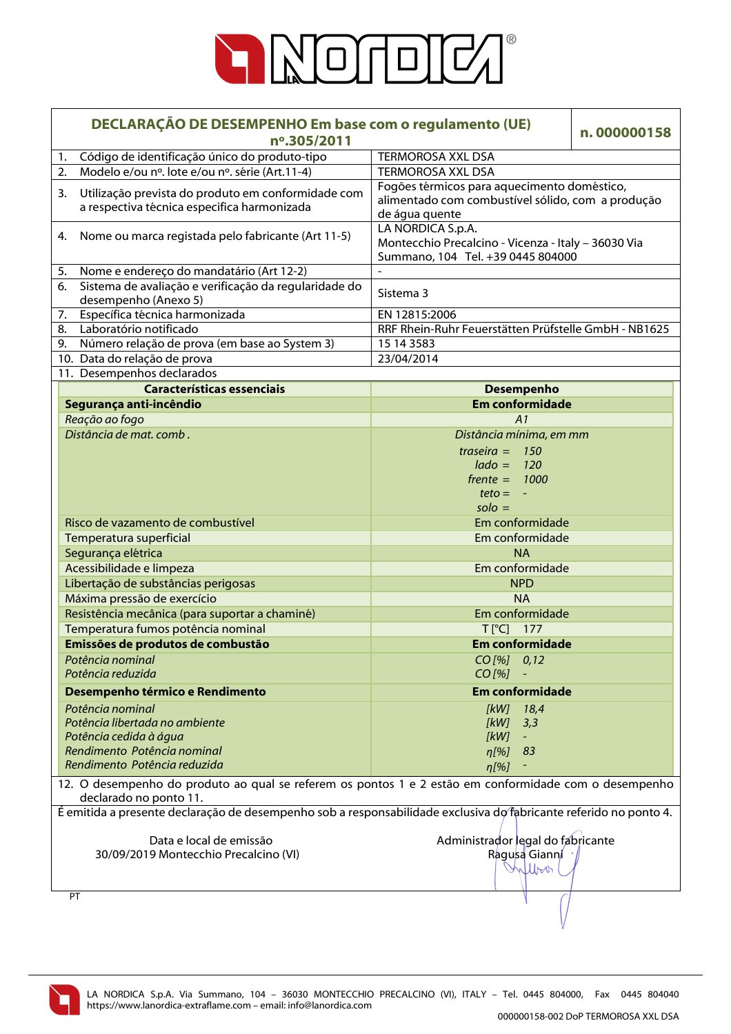

|    | DECLARAÇÃO DE DESEMPENHO Em base com o regulamento (UE)<br>nº.305/2011                                                           |                                                                                                                    | n.000000158 |
|----|----------------------------------------------------------------------------------------------------------------------------------|--------------------------------------------------------------------------------------------------------------------|-------------|
| 1. | Código de identificação único do produto-tipo                                                                                    | <b>TERMOROSA XXL DSA</b>                                                                                           |             |
| 2. | Modelo e/ou nº. lote e/ou nº. série (Art.11-4)                                                                                   | <b>TERMOROSA XXL DSA</b>                                                                                           |             |
| 3. | Utilização prevista do produto em conformidade com<br>a respectiva técnica especifica harmonizada                                | Fogões térmicos para aquecimento doméstico,<br>alimentado com combustível sólido, com a produção<br>de água quente |             |
| 4. | Nome ou marca registada pelo fabricante (Art 11-5)                                                                               | LA NORDICA S.p.A.<br>Montecchio Precalcino - Vicenza - Italy - 36030 Via<br>Summano, 104 Tel. +39 0445 804000      |             |
| 5. | Nome e endereço do mandatário (Art 12-2)                                                                                         |                                                                                                                    |             |
| 6. | Sistema de avaliação e verificação da regularidade do<br>desempenho (Anexo 5)                                                    | Sistema 3                                                                                                          |             |
| 7. | Específica técnica harmonizada                                                                                                   | EN 12815:2006                                                                                                      |             |
| 8. | Laboratório notificado                                                                                                           | RRF Rhein-Ruhr Feuerstätten Prüfstelle GmbH - NB1625                                                               |             |
| 9. | Número relação de prova (em base ao System 3)                                                                                    | 15 14 3583                                                                                                         |             |
|    | 10. Data do relação de prova                                                                                                     | 23/04/2014                                                                                                         |             |
|    | 11. Desempenhos declarados                                                                                                       |                                                                                                                    |             |
|    | <b>Características essenciais</b>                                                                                                | <b>Desempenho</b>                                                                                                  |             |
|    | Segurança anti-incêndio                                                                                                          | <b>Em conformidade</b>                                                                                             |             |
|    | Reação ao fogo                                                                                                                   | A1                                                                                                                 |             |
|    | Distância de mat. comb.                                                                                                          | Distância mínima, em mm                                                                                            |             |
|    |                                                                                                                                  | traseira $=$<br>150                                                                                                |             |
|    |                                                                                                                                  | $lado =$<br>120                                                                                                    |             |
|    |                                                                                                                                  | $f$ rente = 1000                                                                                                   |             |
|    |                                                                                                                                  | $teto = -$                                                                                                         |             |
|    |                                                                                                                                  | $\mathsf{solo} =$                                                                                                  |             |
|    | Risco de vazamento de combustível                                                                                                | Em conformidade                                                                                                    |             |
|    | Temperatura superficial                                                                                                          | Em conformidade                                                                                                    |             |
|    | Segurança elétrica                                                                                                               | <b>NA</b>                                                                                                          |             |
|    | Acessibilidade e limpeza                                                                                                         | Em conformidade                                                                                                    |             |
|    | Libertação de substâncias perigosas                                                                                              | <b>NPD</b>                                                                                                         |             |
|    | Máxima pressão de exercício                                                                                                      | <b>NA</b>                                                                                                          |             |
|    | Resistência mecânica (para suportar a chaminé)                                                                                   | Em conformidade                                                                                                    |             |
|    | Temperatura fumos potência nominal                                                                                               | $T[^{°}C]$ 177                                                                                                     |             |
|    | Emissões de produtos de combustão                                                                                                | <b>Em conformidade</b>                                                                                             |             |
|    | Potência nominal                                                                                                                 | $CO$ [%] $0,12$                                                                                                    |             |
|    | Potência reduzida                                                                                                                | $CO$ [%]                                                                                                           |             |
|    | Desempenho térmico e Rendimento                                                                                                  | <b>Em conformidade</b>                                                                                             |             |
|    | Potência nominal                                                                                                                 | [kW]<br>18,4                                                                                                       |             |
|    | Potência libertada no ambiente                                                                                                   | [kW]<br>3,3                                                                                                        |             |
|    | Potência cedida à água                                                                                                           | [kW]                                                                                                               |             |
|    | Rendimento Potência nominal                                                                                                      | 83<br>$n[\%]$                                                                                                      |             |
|    | Rendimento Potência reduzida                                                                                                     | $\eta$ [%]                                                                                                         |             |
|    | 12. O desempenho do produto ao qual se referem os pontos 1 e 2 estão em conformidade com o desempenho<br>declarado no ponto 11.  |                                                                                                                    |             |
|    | É emitida a presente declaração de desempenho sob a responsabilidade exclusiva do fabricante referido no ponto 4.                |                                                                                                                    |             |
|    | Administrador legal do fabricante<br>Data e local de emissão<br>30/09/2019 Montecchio Precalcino (VI)<br>Ragusa Gianni<br>Milboo |                                                                                                                    |             |
|    | PT                                                                                                                               |                                                                                                                    |             |
|    |                                                                                                                                  |                                                                                                                    |             |

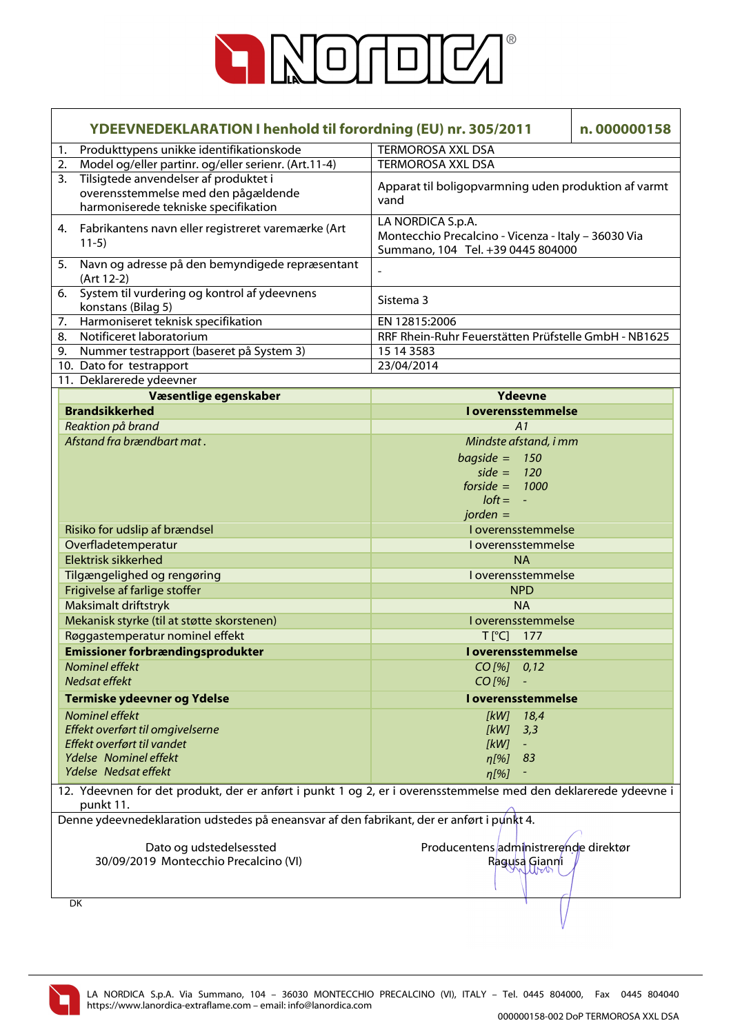

| YDEEVNEDEKLARATION I henhold til forordning (EU) nr. 305/2011 |                                                                                                                              | n.000000158                                                                                                   |  |
|---------------------------------------------------------------|------------------------------------------------------------------------------------------------------------------------------|---------------------------------------------------------------------------------------------------------------|--|
| 1.                                                            | Produkttypens unikke identifikationskode                                                                                     | <b>TERMOROSA XXL DSA</b>                                                                                      |  |
| 2.                                                            | Model og/eller partinr. og/eller serienr. (Art.11-4)                                                                         | <b>TERMOROSA XXL DSA</b>                                                                                      |  |
| 3.                                                            | Tilsigtede anvendelser af produktet i<br>overensstemmelse med den pågældende<br>harmoniserede tekniske specifikation         | Apparat til boligopvarmning uden produktion af varmt<br>vand                                                  |  |
|                                                               | 4. Fabrikantens navn eller registreret varemærke (Art<br>$11-5)$                                                             | LA NORDICA S.p.A.<br>Montecchio Precalcino - Vicenza - Italy - 36030 Via<br>Summano, 104 Tel. +39 0445 804000 |  |
|                                                               | 5. Navn og adresse på den bemyndigede repræsentant<br>(Art 12-2)                                                             |                                                                                                               |  |
| 6.                                                            | System til vurdering og kontrol af ydeevnens<br>konstans (Bilag 5)                                                           | Sistema 3                                                                                                     |  |
| 7.                                                            | Harmoniseret teknisk specifikation                                                                                           | EN 12815:2006                                                                                                 |  |
| 8.                                                            | Notificeret laboratorium                                                                                                     | RRF Rhein-Ruhr Feuerstätten Prüfstelle GmbH - NB1625                                                          |  |
| 9.                                                            | Nummer testrapport (baseret på System 3)                                                                                     | 15 14 3583                                                                                                    |  |
|                                                               | 10. Dato for testrapport                                                                                                     | 23/04/2014                                                                                                    |  |
|                                                               | 11. Deklarerede ydeevner                                                                                                     |                                                                                                               |  |
|                                                               | Væsentlige egenskaber                                                                                                        | <b>Ydeevne</b>                                                                                                |  |
|                                                               | <b>Brandsikkerhed</b>                                                                                                        | I overensstemmelse                                                                                            |  |
|                                                               | Reaktion på brand                                                                                                            | A1                                                                                                            |  |
|                                                               | Afstand fra brændbart mat.                                                                                                   | Mindste afstand, i mm                                                                                         |  |
|                                                               |                                                                                                                              | $bagside = 150$                                                                                               |  |
|                                                               |                                                                                                                              | side = $120$                                                                                                  |  |
|                                                               |                                                                                                                              | forside = $1000$                                                                                              |  |
|                                                               |                                                                                                                              | $loft = -$                                                                                                    |  |
|                                                               |                                                                                                                              | $jorden =$                                                                                                    |  |
|                                                               | Risiko for udslip af brændsel                                                                                                | I overensstemmelse                                                                                            |  |
|                                                               | Overfladetemperatur                                                                                                          | I overensstemmelse                                                                                            |  |
|                                                               | <b>Elektrisk sikkerhed</b>                                                                                                   | <b>NA</b>                                                                                                     |  |
|                                                               | Tilgængelighed og rengøring                                                                                                  | I overensstemmelse                                                                                            |  |
|                                                               | Frigivelse af farlige stoffer                                                                                                | <b>NPD</b>                                                                                                    |  |
|                                                               | Maksimalt driftstryk                                                                                                         | <b>NA</b>                                                                                                     |  |
|                                                               | Mekanisk styrke (til at støtte skorstenen)                                                                                   | I overensstemmelse                                                                                            |  |
|                                                               | Røggastemperatur nominel effekt                                                                                              | $T[^{\circ}C]$<br>177                                                                                         |  |
|                                                               | <b>Emissioner forbrændingsprodukter</b>                                                                                      | <b>Loverensstemmelse</b>                                                                                      |  |
|                                                               | Nominel effekt<br>Nedsat effekt                                                                                              | CO [%] 0,12<br>$CO$ [%]                                                                                       |  |
|                                                               | Termiske ydeevner og Ydelse                                                                                                  | I overensstemmelse                                                                                            |  |
|                                                               | Nominel effekt                                                                                                               | [kW]<br>18,4                                                                                                  |  |
|                                                               | Effekt overført til omgivelserne                                                                                             | [kW]<br>3,3                                                                                                   |  |
|                                                               | Effekt overført til vandet                                                                                                   | [kW]<br>$\equiv$                                                                                              |  |
|                                                               | Ydelse Nominel effekt                                                                                                        | 83<br>$\eta$ [%]                                                                                              |  |
|                                                               | Ydelse Nedsat effekt                                                                                                         | $\eta$ [%]                                                                                                    |  |
|                                                               | 12. Ydeevnen for det produkt, der er anført i punkt 1 og 2, er i overensstemmelse med den deklarerede ydeevne i<br>punkt 11. |                                                                                                               |  |
|                                                               | Denne ydeevnedeklaration udstedes på eneansvar af den fabrikant, der er anført i punkt 4.                                    |                                                                                                               |  |
|                                                               |                                                                                                                              |                                                                                                               |  |
|                                                               | Dato og udstedelsessted                                                                                                      | Producentens administrerende direktør                                                                         |  |
|                                                               | 30/09/2019 Montecchio Precalcino (VI)                                                                                        | Ragusa Gianni                                                                                                 |  |
|                                                               |                                                                                                                              |                                                                                                               |  |
|                                                               | DK                                                                                                                           |                                                                                                               |  |

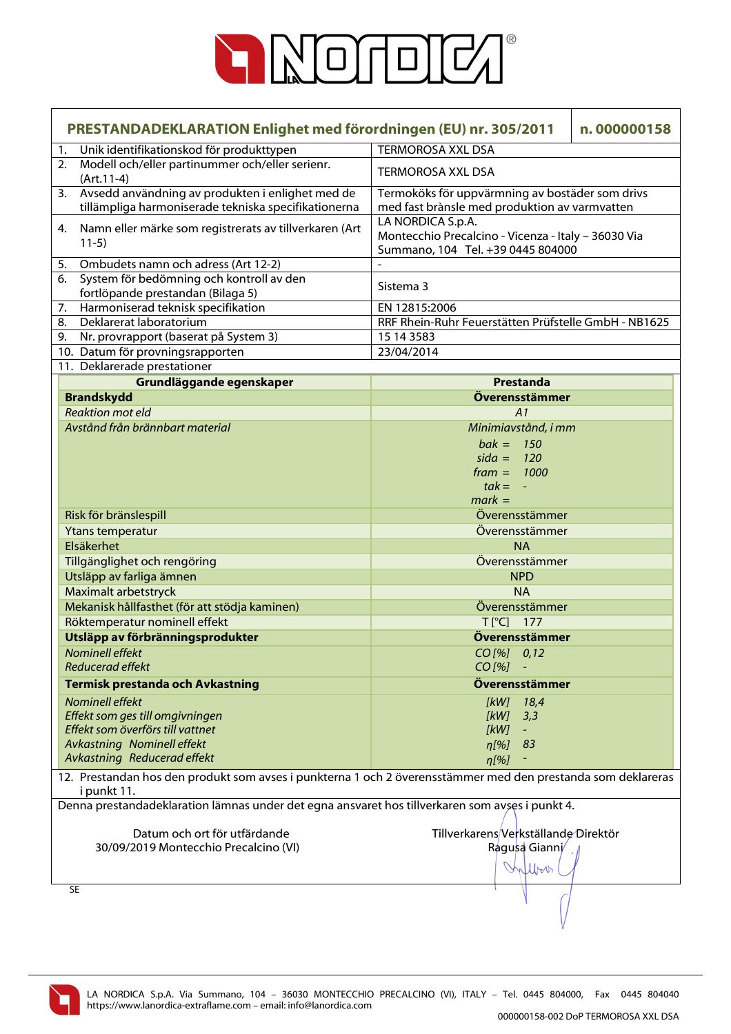

|    | PRESTANDADEKLARATION Enlighet med förordningen (EU) nr. 305/2011<br>n.000000158                                             |                                                                                                               |  |
|----|-----------------------------------------------------------------------------------------------------------------------------|---------------------------------------------------------------------------------------------------------------|--|
| 1. | Unik identifikationskod för produkttypen                                                                                    | <b>TERMOROSA XXL DSA</b>                                                                                      |  |
| 2. | Modell och/eller partinummer och/eller serienr.<br>$(Art.11-4)$                                                             | <b>TERMOROSA XXL DSA</b>                                                                                      |  |
| 3. | Avsedd användning av produkten i enlighet med de<br>tillämpliga harmoniserade tekniska specifikationerna                    | Termoköks för uppvärmning av bostäder som drivs<br>med fast brànsle med produktion av varmvatten              |  |
| 4. | Namn eller märke som registrerats av tillverkaren (Art<br>$11-5)$                                                           | LA NORDICA S.p.A.<br>Montecchio Precalcino - Vicenza - Italy - 36030 Via<br>Summano, 104 Tel. +39 0445 804000 |  |
| 5. | Ombudets namn och adress (Art 12-2)                                                                                         |                                                                                                               |  |
| 6. | System för bedömning och kontroll av den                                                                                    | Sistema 3                                                                                                     |  |
|    | fortlöpande prestandan (Bilaga 5)                                                                                           |                                                                                                               |  |
| 7. | Harmoniserad teknisk specifikation                                                                                          | EN 12815:2006                                                                                                 |  |
|    | Deklarerat laboratorium<br>8.                                                                                               | RRF Rhein-Ruhr Feuerstätten Prüfstelle GmbH - NB1625                                                          |  |
|    | 9. Nr. provrapport (baserat på System 3)                                                                                    | 15 14 3583                                                                                                    |  |
|    | 10. Datum för provningsrapporten                                                                                            | 23/04/2014                                                                                                    |  |
|    | 11. Deklarerade prestationer                                                                                                |                                                                                                               |  |
|    | Grundläggande egenskaper                                                                                                    | <b>Prestanda</b>                                                                                              |  |
|    | <b>Brandskydd</b>                                                                                                           | Överensstämmer                                                                                                |  |
|    | <b>Reaktion mot eld</b>                                                                                                     | A1                                                                                                            |  |
|    | Avstånd från brännbart material                                                                                             | Minimiavstånd, i mm                                                                                           |  |
|    |                                                                                                                             | $bak = 150$                                                                                                   |  |
|    |                                                                                                                             | $sida = 120$                                                                                                  |  |
|    |                                                                                                                             | $frame = 1000$                                                                                                |  |
|    |                                                                                                                             | $tak = -$                                                                                                     |  |
|    |                                                                                                                             | $mark =$                                                                                                      |  |
|    | Risk för bränslespill                                                                                                       | Överensstämmer                                                                                                |  |
|    | <b>Ytans temperatur</b>                                                                                                     | Överensstämmer                                                                                                |  |
|    | Elsäkerhet                                                                                                                  | <b>NA</b>                                                                                                     |  |
|    | Tillgänglighet och rengöring                                                                                                | Överensstämmer                                                                                                |  |
|    | Utsläpp av farliga ämnen                                                                                                    | <b>NPD</b>                                                                                                    |  |
|    | <b>Maximalt arbetstryck</b>                                                                                                 | <b>NA</b>                                                                                                     |  |
|    | Mekanisk hållfasthet (för att stödja kaminen)                                                                               | Överensstämmer                                                                                                |  |
|    | Röktemperatur nominell effekt                                                                                               | $T[^{\circ}C]$ 177                                                                                            |  |
|    | Utsläpp av förbränningsprodukter                                                                                            | Överensstämmer                                                                                                |  |
|    | <b>Nominell effekt</b>                                                                                                      | $CO$ [%] $0,12$                                                                                               |  |
|    | Reducerad effekt                                                                                                            | CO[%] -                                                                                                       |  |
|    | <b>Termisk prestanda och Avkastning</b>                                                                                     | Överensstämmer                                                                                                |  |
|    |                                                                                                                             |                                                                                                               |  |
|    | Nominell effekt                                                                                                             | $[kW]$ 18,4                                                                                                   |  |
|    | Effekt som ges till omgivningen<br>Effekt som överförs till vattnet                                                         | $[kW]$ 3,3                                                                                                    |  |
|    | Avkastning Nominell effekt                                                                                                  | [kW]                                                                                                          |  |
|    | Avkastning Reducerad effekt                                                                                                 | $n[%]$ 83                                                                                                     |  |
|    |                                                                                                                             | $\eta$ [%]                                                                                                    |  |
|    | 12. Prestandan hos den produkt som avses i punkterna 1 och 2 överensstämmer med den prestanda som deklareras<br>i punkt 11. |                                                                                                               |  |
|    | Denna prestandadeklaration lämnas under det egna ansvaret hos tillverkaren som avses i punkt 4.                             |                                                                                                               |  |
|    | Datum och ort för utfärdande                                                                                                | Tillverkarens/Verkställande Direktör                                                                          |  |
|    | 30/09/2019 Montecchio Precalcino (VI)                                                                                       | Ragusa Gianni                                                                                                 |  |
|    |                                                                                                                             | William                                                                                                       |  |
|    |                                                                                                                             |                                                                                                               |  |
|    | <b>SE</b>                                                                                                                   |                                                                                                               |  |
|    |                                                                                                                             |                                                                                                               |  |

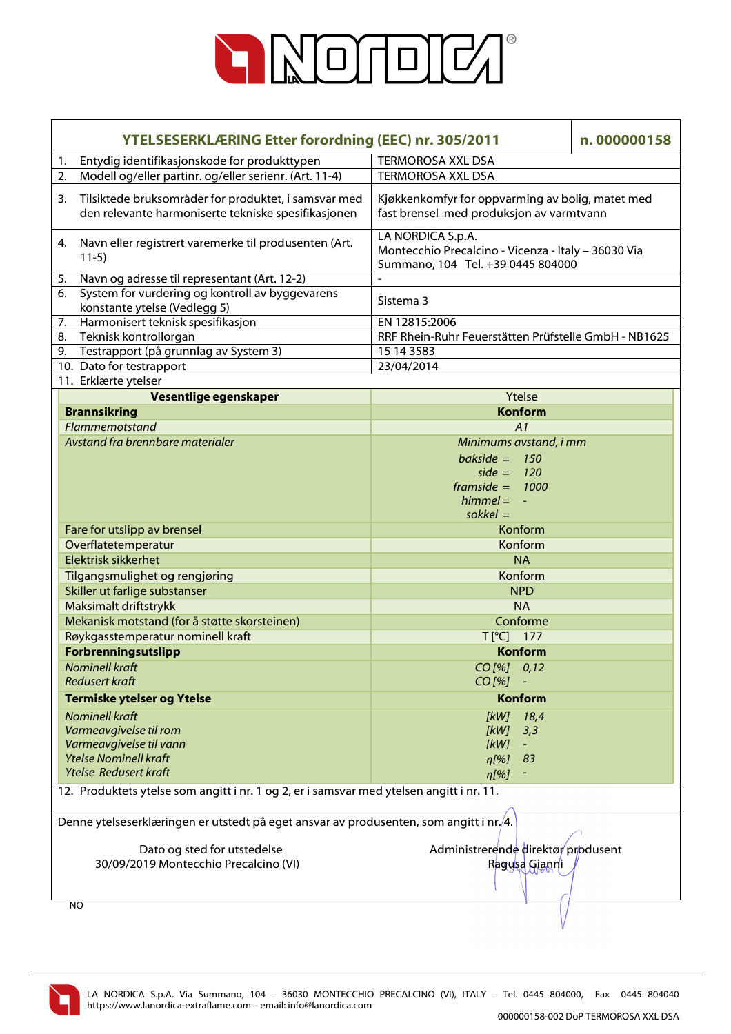

| <b>YTELSESERKLÆRING Etter forordning (EEC) nr. 305/2011</b>                                                       |                                                                                                               | n.000000158 |  |
|-------------------------------------------------------------------------------------------------------------------|---------------------------------------------------------------------------------------------------------------|-------------|--|
| Entydig identifikasjonskode for produkttypen<br>1.                                                                | <b>TERMOROSA XXL DSA</b>                                                                                      |             |  |
| Modell og/eller partinr. og/eller serienr. (Art. 11-4)<br>2.                                                      | <b>TERMOROSA XXL DSA</b>                                                                                      |             |  |
| Tilsiktede bruksområder for produktet, i samsvar med<br>3.<br>den relevante harmoniserte tekniske spesifikasjonen | Kjøkkenkomfyr for oppvarming av bolig, matet med<br>fast brensel med produksjon av varmtvann                  |             |  |
| Navn eller registrert varemerke til produsenten (Art.<br>4.<br>$11-5)$                                            | LA NORDICA S.p.A.<br>Montecchio Precalcino - Vicenza - Italy - 36030 Via<br>Summano, 104 Tel. +39 0445 804000 |             |  |
| Navn og adresse til representant (Art. 12-2)<br>5.                                                                |                                                                                                               |             |  |
| System for vurdering og kontroll av byggevarens<br>6.<br>konstante ytelse (Vedlegg 5)                             | Sistema 3                                                                                                     |             |  |
| Harmonisert teknisk spesifikasjon<br>7.                                                                           | EN 12815:2006                                                                                                 |             |  |
| Teknisk kontrollorgan<br>8.                                                                                       | RRF Rhein-Ruhr Feuerstätten Prüfstelle GmbH - NB1625                                                          |             |  |
| 9. Testrapport (på grunnlag av System 3)                                                                          | 15 14 3583                                                                                                    |             |  |
| 10. Dato for testrapport                                                                                          | 23/04/2014                                                                                                    |             |  |
| 11. Erklærte ytelser                                                                                              |                                                                                                               |             |  |
| Vesentlige egenskaper                                                                                             | Ytelse                                                                                                        |             |  |
| <b>Brannsikring</b>                                                                                               | <b>Konform</b>                                                                                                |             |  |
| Flammemotstand                                                                                                    | A1                                                                                                            |             |  |
| Avstand fra brennbare materialer                                                                                  | Minimums avstand, i mm                                                                                        |             |  |
|                                                                                                                   | bakside = $150$                                                                                               |             |  |
|                                                                                                                   | side = $120$                                                                                                  |             |  |
|                                                                                                                   | framside = $1000$                                                                                             |             |  |
|                                                                                                                   | $himmel = -$                                                                                                  |             |  |
|                                                                                                                   | $s$ okkel =                                                                                                   |             |  |
| Fare for utslipp av brensel                                                                                       | Konform                                                                                                       |             |  |
| Overflatetemperatur                                                                                               | Konform                                                                                                       |             |  |
| Elektrisk sikkerhet                                                                                               | <b>NA</b>                                                                                                     |             |  |
| Tilgangsmulighet og rengjøring                                                                                    | Konform                                                                                                       |             |  |
| Skiller ut farlige substanser                                                                                     | <b>NPD</b>                                                                                                    |             |  |
| Maksimalt driftstrykk                                                                                             | <b>NA</b>                                                                                                     |             |  |
| Mekanisk motstand (for å støtte skorsteinen)                                                                      | Conforme                                                                                                      |             |  |
| Røykgasstemperatur nominell kraft                                                                                 | T[°C] 177                                                                                                     |             |  |
| <b>Forbrenningsutslipp</b>                                                                                        | <b>Konform</b>                                                                                                |             |  |
| <b>Nominell kraft</b>                                                                                             | $CO$ [%] $0,12$                                                                                               |             |  |
| <b>Redusert kraft</b>                                                                                             | $CO$ [%]                                                                                                      |             |  |
| <b>Termiske ytelser og Ytelse</b>                                                                                 | <b>Konform</b>                                                                                                |             |  |
| <b>Nominell kraft</b>                                                                                             | [kW]<br>18,4                                                                                                  |             |  |
| Varmeavgivelse til rom                                                                                            | 3,3<br>[kW]                                                                                                   |             |  |
| Varmeavgivelse til vann                                                                                           | [kW]<br>$\equiv$                                                                                              |             |  |
| <b>Ytelse Nominell kraft</b>                                                                                      | 83<br>$\eta$ [%]                                                                                              |             |  |
| <b>Ytelse Redusert kraft</b>                                                                                      | $\eta$ [%]                                                                                                    |             |  |
| 12. Produktets ytelse som angitt i nr. 1 og 2, er i samsvar med ytelsen angitt i nr. 11.                          |                                                                                                               |             |  |
|                                                                                                                   | Denne ytelseserklæringen er utstedt på eget ansvar av produsenten, som angitt i nr./4.                        |             |  |
|                                                                                                                   |                                                                                                               |             |  |
| Dato og sted for utstedelse                                                                                       | Administrerende direktør produsent                                                                            |             |  |
| 30/09/2019 Montecchio Precalcino (VI)                                                                             | Ragusa Gianni                                                                                                 |             |  |
|                                                                                                                   |                                                                                                               |             |  |
| NO                                                                                                                |                                                                                                               |             |  |

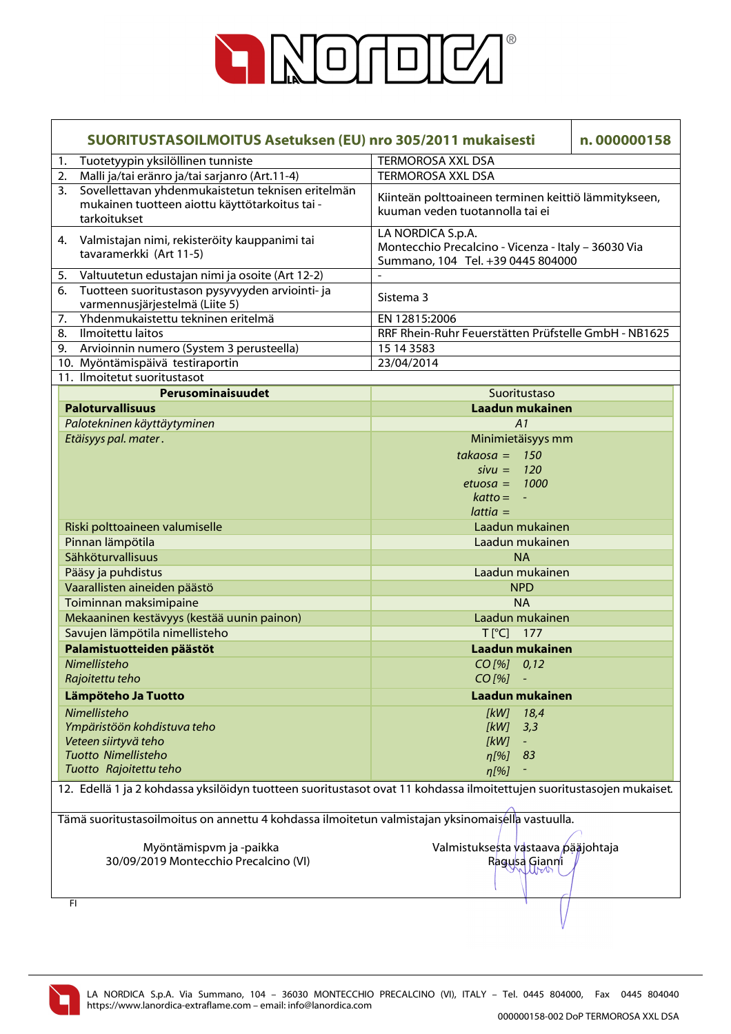

| SUORITUSTASOILMOITUS Asetuksen (EU) nro 305/2011 mukaisesti                                                               | n.000000158                                                                                                   |  |  |
|---------------------------------------------------------------------------------------------------------------------------|---------------------------------------------------------------------------------------------------------------|--|--|
| Tuotetyypin yksilöllinen tunniste<br>1.                                                                                   | <b>TERMOROSA XXL DSA</b>                                                                                      |  |  |
| Malli ja/tai eränro ja/tai sarjanro (Art.11-4)<br>2.                                                                      | <b>TERMOROSA XXL DSA</b>                                                                                      |  |  |
| Sovellettavan yhdenmukaistetun teknisen eritelmän<br>3.<br>mukainen tuotteen aiottu käyttötarkoitus tai -<br>tarkoitukset | Kiinteän polttoaineen terminen keittiö lämmitykseen,<br>kuuman veden tuotannolla tai ei                       |  |  |
| Valmistajan nimi, rekisteröity kauppanimi tai<br>4.<br>tavaramerkki (Art 11-5)                                            | LA NORDICA S.p.A.<br>Montecchio Precalcino - Vicenza - Italy - 36030 Via<br>Summano, 104 Tel. +39 0445 804000 |  |  |
| Valtuutetun edustajan nimi ja osoite (Art 12-2)<br>5.                                                                     |                                                                                                               |  |  |
| Tuotteen suoritustason pysyvyyden arviointi- ja<br>6.<br>varmennusjärjestelmä (Liite 5)                                   | Sistema 3                                                                                                     |  |  |
| Yhdenmukaistettu tekninen eritelmä<br>7.                                                                                  | EN 12815:2006                                                                                                 |  |  |
| Ilmoitettu laitos<br>8.                                                                                                   | RRF Rhein-Ruhr Feuerstätten Prüfstelle GmbH - NB1625                                                          |  |  |
| 9. Arvioinnin numero (System 3 perusteella)                                                                               | 15 14 3583                                                                                                    |  |  |
| 10. Myöntämispäivä testiraportin                                                                                          | 23/04/2014                                                                                                    |  |  |
| 11. Ilmoitetut suoritustasot                                                                                              |                                                                                                               |  |  |
| Perusominaisuudet                                                                                                         | Suoritustaso                                                                                                  |  |  |
| <b>Paloturvallisuus</b>                                                                                                   | Laadun mukainen                                                                                               |  |  |
| Palotekninen käyttäytyminen                                                                                               | A1                                                                                                            |  |  |
| Etäisyys pal. mater.                                                                                                      | Minimietäisyys mm                                                                                             |  |  |
|                                                                                                                           | $takaosa = 150$                                                                                               |  |  |
|                                                                                                                           | $sivu = 120$                                                                                                  |  |  |
|                                                                                                                           | $etuosa = 1000$                                                                                               |  |  |
|                                                                                                                           | $k$ atto = $-$                                                                                                |  |  |
|                                                                                                                           | $lattice =$                                                                                                   |  |  |
| Riski polttoaineen valumiselle                                                                                            | Laadun mukainen                                                                                               |  |  |
| Pinnan lämpötila                                                                                                          | Laadun mukainen                                                                                               |  |  |
| Sähköturvallisuus                                                                                                         | <b>NA</b>                                                                                                     |  |  |
| Pääsy ja puhdistus                                                                                                        | Laadun mukainen                                                                                               |  |  |
| Vaarallisten aineiden päästö                                                                                              | <b>NPD</b>                                                                                                    |  |  |
| Toiminnan maksimipaine                                                                                                    | <b>NA</b>                                                                                                     |  |  |
| Mekaaninen kestävyys (kestää uunin painon)                                                                                | Laadun mukainen                                                                                               |  |  |
| Savujen lämpötila nimellisteho                                                                                            | $T[^{\circ}C]$ 177                                                                                            |  |  |
| Palamistuotteiden päästöt                                                                                                 | Laadun mukainen                                                                                               |  |  |
| Nimellisteho                                                                                                              | $CO$ [%] $0,12$                                                                                               |  |  |
| Rajoitettu teho                                                                                                           | $CO$ [%]                                                                                                      |  |  |
| Lämpöteho Ja Tuotto                                                                                                       | Laadun mukainen                                                                                               |  |  |
| Nimellisteho                                                                                                              | [kW]<br>18,4                                                                                                  |  |  |
| Ympäristöön kohdistuva teho                                                                                               | [kW]<br>3,3                                                                                                   |  |  |
| Veteen siirtyvä teho                                                                                                      | [kW]<br>$\equiv$                                                                                              |  |  |
| <b>Tuotto Nimellisteho</b>                                                                                                | 83<br>$n[\%]$                                                                                                 |  |  |
| Tuotto Rajoitettu teho                                                                                                    | $\eta$ [%]                                                                                                    |  |  |
|                                                                                                                           |                                                                                                               |  |  |
| 12. Edellä 1 ja 2 kohdassa yksilöidyn tuotteen suoritustasot ovat 11 kohdassa ilmoitettujen suoritustasojen mukaiset.     |                                                                                                               |  |  |
| Tämä suoritustasoilmoitus on annettu 4 kohdassa ilmoitetun valmistajan yksinomaisella vastuulla.                          |                                                                                                               |  |  |
|                                                                                                                           |                                                                                                               |  |  |
| Myöntämispvm ja -paikka                                                                                                   | Valmistuksesta vastaava pääjohtaja                                                                            |  |  |
| 30/09/2019 Montecchio Precalcino (VI)                                                                                     | Ragusa Gianni                                                                                                 |  |  |
|                                                                                                                           |                                                                                                               |  |  |
| FI                                                                                                                        |                                                                                                               |  |  |

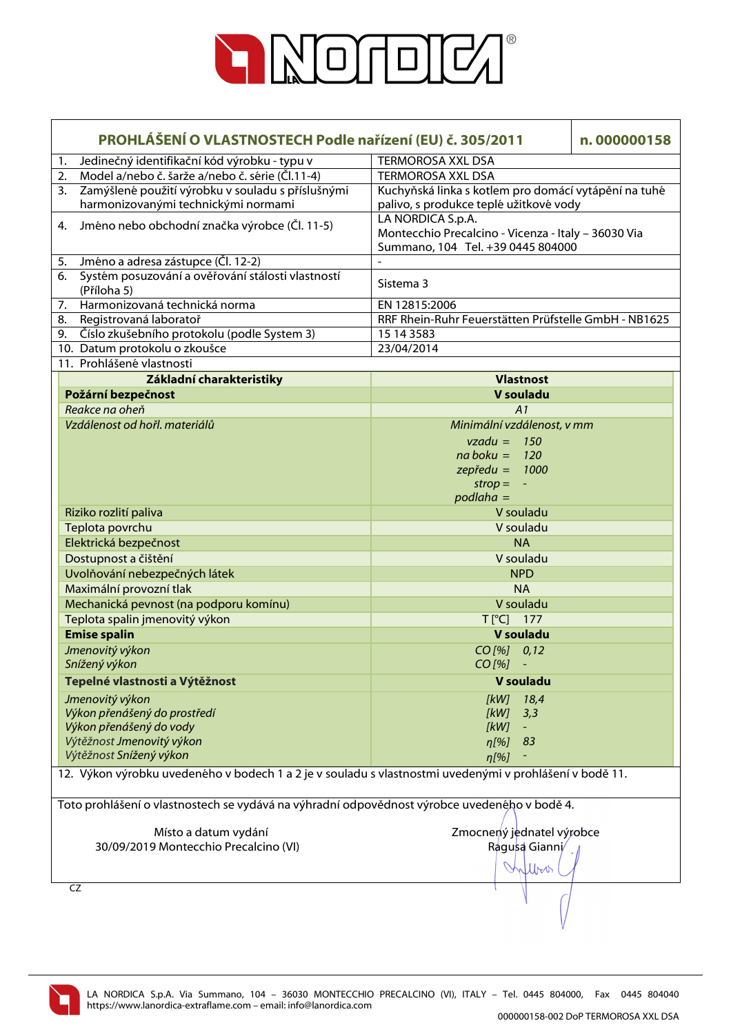

| PROHLÁŠENÍ O VLASTNOSTECH Podle nařízení (EU) č. 305/2011 |                                                                                                         |                                                      | n.000000158 |
|-----------------------------------------------------------|---------------------------------------------------------------------------------------------------------|------------------------------------------------------|-------------|
| 1.                                                        | Jedinečný identifikační kód výrobku - typu v                                                            | <b>TERMOROSA XXL DSA</b>                             |             |
| 2.                                                        | Model a/nebo č. šarže a/nebo č. série (Čl.11-4)                                                         | <b>TERMOROSA XXL DSA</b>                             |             |
| 3.                                                        | Zamýšlené použití výrobku v souladu s příslušnými                                                       | Kuchyňská linka s kotlem pro domácí vytápění na tuhé |             |
|                                                           | harmonizovanými technickými normami                                                                     | palivo, s produkce teplé užitkové vody               |             |
| 4.                                                        | Jméno nebo obchodní značka výrobce (Čl. 11-5)                                                           | LA NORDICA S.p.A.                                    |             |
|                                                           |                                                                                                         | Montecchio Precalcino - Vicenza - Italy - 36030 Via  |             |
|                                                           |                                                                                                         | Summano, 104 Tel. +39 0445 804000                    |             |
| 5.                                                        | Jméno a adresa zástupce (Čl. 12-2)                                                                      |                                                      |             |
| 6.                                                        | Systém posuzování a ověřování stálosti vlastností<br>(Příloha 5)                                        | Sistema 3                                            |             |
| 7.                                                        | Harmonizovaná technická norma                                                                           | EN 12815:2006                                        |             |
| 8.                                                        | Registrovaná laboratoř                                                                                  | RRF Rhein-Ruhr Feuerstätten Prüfstelle GmbH - NB1625 |             |
| 9.                                                        | Číslo zkušebního protokolu (podle System 3)                                                             | 15 14 35 83                                          |             |
|                                                           | 10. Datum protokolu o zkoušce                                                                           | 23/04/2014                                           |             |
|                                                           | 11. Prohlášené vlastnosti                                                                               |                                                      |             |
|                                                           | Základní charakteristiky                                                                                | <b>Vlastnost</b>                                     |             |
|                                                           | Požární bezpečnost                                                                                      | V souladu                                            |             |
|                                                           | Reakce na oheň                                                                                          | A1                                                   |             |
|                                                           | Vzdálenost od hořl. materiálů                                                                           | Minimální vzdálenost, v mm                           |             |
|                                                           |                                                                                                         | $vzadu = 150$                                        |             |
|                                                           |                                                                                                         | $na boku = 120$                                      |             |
|                                                           |                                                                                                         | $z$ epředu = 1000                                    |             |
|                                                           |                                                                                                         | $strop =$<br>$\omega$                                |             |
|                                                           |                                                                                                         | $podlaha =$<br>V souladu                             |             |
|                                                           | Riziko rozlití paliva<br>Teplota povrchu                                                                | V souladu                                            |             |
|                                                           | Elektrická bezpečnost                                                                                   | <b>NA</b>                                            |             |
|                                                           |                                                                                                         | V souladu                                            |             |
|                                                           | Dostupnost a čištění<br>Uvolňování nebezpečných látek                                                   | <b>NPD</b>                                           |             |
|                                                           | Maximální provozní tlak                                                                                 | <b>NA</b>                                            |             |
|                                                           | Mechanická pevnost (na podporu komínu)                                                                  | V souladu                                            |             |
|                                                           | Teplota spalin jmenovitý výkon                                                                          | $T[^{\circ}C]$ 177                                   |             |
|                                                           | <b>Emise spalin</b>                                                                                     | V souladu                                            |             |
|                                                           | Jmenovitý výkon                                                                                         | $CO$ [%] $0,12$                                      |             |
|                                                           | Snížený výkon                                                                                           | $CO [%] -$                                           |             |
|                                                           | Tepelné vlastnosti a Výtěžnost                                                                          | V souladu                                            |             |
|                                                           |                                                                                                         |                                                      |             |
|                                                           | Jmenovitý výkon                                                                                         | 18,4<br>[kW]                                         |             |
|                                                           | Výkon přenášený do prostředí<br>Výkon přenášený do vody                                                 | [kW]<br>3,3<br>[kW]                                  |             |
|                                                           | Výtěžnost Jmenovitý výkon                                                                               | 83<br>$\eta$ [%]                                     |             |
|                                                           | Výtěžnost Snížený výkon                                                                                 | $\eta$ [%]                                           |             |
|                                                           | 12. Výkon výrobku uvedeného v bodech 1 a 2 je v souladu s vlastnostmi uvedenými v prohlášení v bodě 11. |                                                      |             |
|                                                           |                                                                                                         |                                                      |             |
|                                                           | Toto prohlášení o vlastnostech se vydává na výhradní odpovědnost výrobce uvedeného v bodě 4.            |                                                      |             |
|                                                           |                                                                                                         |                                                      |             |
|                                                           | Místo a datum vydání                                                                                    | Zmocnený jednatel výrobce                            |             |
|                                                           | 30/09/2019 Montecchio Precalcino (VI)                                                                   | Ragusa Gianni/                                       |             |
|                                                           |                                                                                                         |                                                      |             |
|                                                           |                                                                                                         | llboo                                                |             |
|                                                           | CZ                                                                                                      |                                                      |             |
|                                                           |                                                                                                         |                                                      |             |
|                                                           |                                                                                                         |                                                      |             |

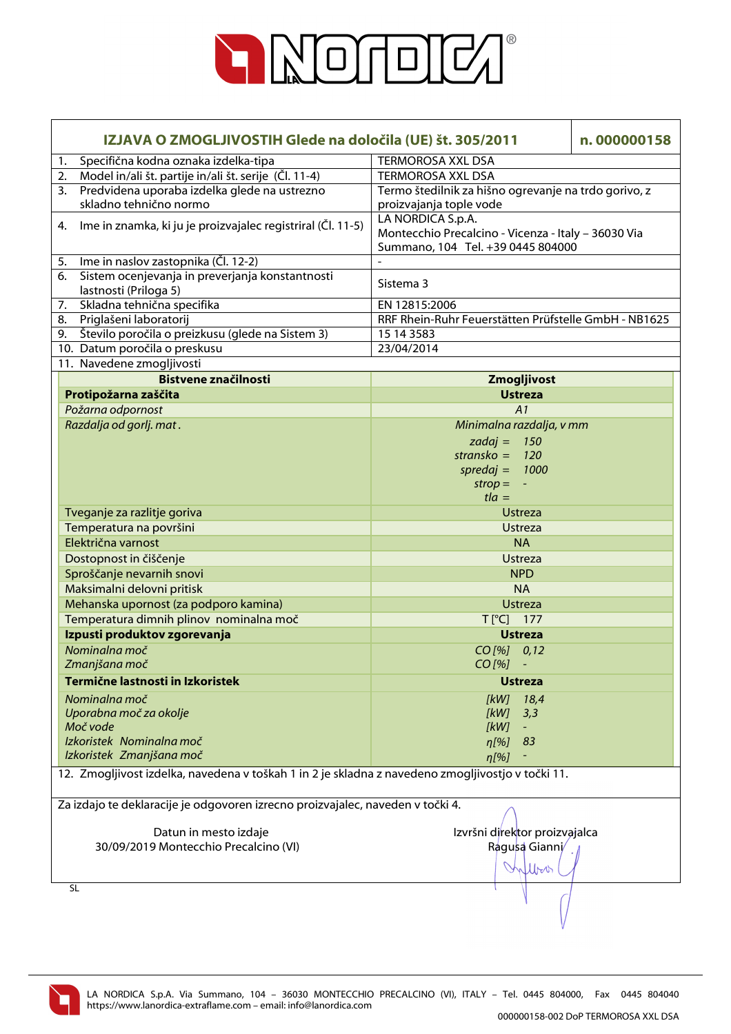

| IZJAVA O ZMOGLJIVOSTIH Glede na določila (UE) št. 305/2011                                        |                                                      | n.000000158 |  |
|---------------------------------------------------------------------------------------------------|------------------------------------------------------|-------------|--|
| Specifična kodna oznaka izdelka-tipa<br>1.                                                        | <b>TERMOROSA XXL DSA</b>                             |             |  |
| Model in/ali št. partije in/ali št. serije (Čl. 11-4)<br>2.                                       | <b>TERMOROSA XXL DSA</b>                             |             |  |
| Predvidena uporaba izdelka glede na ustrezno<br>3.                                                | Termo štedilnik za hišno ogrevanje na trdo gorivo, z |             |  |
| skladno tehnično normo                                                                            | proizvajanja tople vode                              |             |  |
| Ime in znamka, ki ju je proizvajalec registriral (Čl. 11-5)<br>4.                                 | LA NORDICA S.p.A.                                    |             |  |
|                                                                                                   | Montecchio Precalcino - Vicenza - Italy - 36030 Via  |             |  |
|                                                                                                   | Summano, 104 Tel. +39 0445 804000                    |             |  |
| Ime in naslov zastopnika (Čl. 12-2)<br>5.                                                         |                                                      |             |  |
| Sistem ocenjevanja in preverjanja konstantnosti<br>6.<br>lastnosti (Priloga 5)                    | Sistema 3                                            |             |  |
| Skladna tehnična specifika<br>7.                                                                  | EN 12815:2006                                        |             |  |
| Priglašeni laboratorij<br>8.                                                                      | RRF Rhein-Ruhr Feuerstätten Prüfstelle GmbH - NB1625 |             |  |
| 9. Število poročila o preizkusu (glede na Sistem 3)                                               | 15 14 3583                                           |             |  |
| 10. Datum poročila o preskusu                                                                     | 23/04/2014                                           |             |  |
| 11. Navedene zmogljivosti                                                                         |                                                      |             |  |
| <b>Bistvene značilnosti</b>                                                                       | Zmogljivost                                          |             |  |
| Protipožarna zaščita                                                                              | <b>Ustreza</b>                                       |             |  |
| Požarna odpornost                                                                                 | A1                                                   |             |  |
| Razdalja od gorlj. mat.                                                                           | Minimalna razdalja, v mm                             |             |  |
|                                                                                                   | zadaj = $150$                                        |             |  |
|                                                                                                   | stransko = $120$                                     |             |  |
|                                                                                                   | spredaj = $1000$                                     |             |  |
|                                                                                                   | $strop = -$                                          |             |  |
|                                                                                                   | $t/a =$                                              |             |  |
| Tveganje za razlitje goriva                                                                       | Ustreza                                              |             |  |
| Temperatura na površini                                                                           | <b>Ustreza</b>                                       |             |  |
| Električna varnost                                                                                | <b>NA</b>                                            |             |  |
| Dostopnost in čiščenje                                                                            | <b>Ustreza</b>                                       |             |  |
| Sproščanje nevarnih snovi                                                                         | <b>NPD</b>                                           |             |  |
| Maksimalni delovni pritisk                                                                        | <b>NA</b>                                            |             |  |
| Mehanska upornost (za podporo kamina)                                                             | <b>Ustreza</b>                                       |             |  |
| Temperatura dimnih plinov nominalna moč                                                           | T[°C] 177                                            |             |  |
| Izpusti produktov zgorevanja                                                                      | <b>Ustreza</b>                                       |             |  |
| Nominalna moč                                                                                     | $CO$ [%] $0,12$                                      |             |  |
| Zmanjšana moč                                                                                     | $CO [%] -$                                           |             |  |
| Termične lastnosti in Izkoristek                                                                  | <b>Ustreza</b>                                       |             |  |
| Nominalna moč                                                                                     | 18,4<br>[kW]                                         |             |  |
| Uporabna moč za okolje                                                                            | [kW]<br>3,3                                          |             |  |
| Moč vode                                                                                          | [kW]<br>$\blacksquare$                               |             |  |
| Izkoristek Nominalna moč                                                                          | 83<br>$n[\%]$                                        |             |  |
| Izkoristek Zmanjšana moč                                                                          | $\eta$ [%]                                           |             |  |
| 12. Zmogljivost izdelka, navedena v toškah 1 in 2 je skladna z navedeno zmogljivostjo v točki 11. |                                                      |             |  |
| Za izdajo te deklaracije je odgovoren izrecno proizvajalec, naveden v točki 4.                    |                                                      |             |  |
| Datun in mesto izdaje                                                                             | Izvršni direktor proizvajalca                        |             |  |
| 30/09/2019 Montecchio Precalcino (VI)                                                             | Ragusa Gianni/                                       |             |  |
|                                                                                                   | lbor                                                 |             |  |
| <b>SL</b>                                                                                         |                                                      |             |  |
|                                                                                                   |                                                      |             |  |

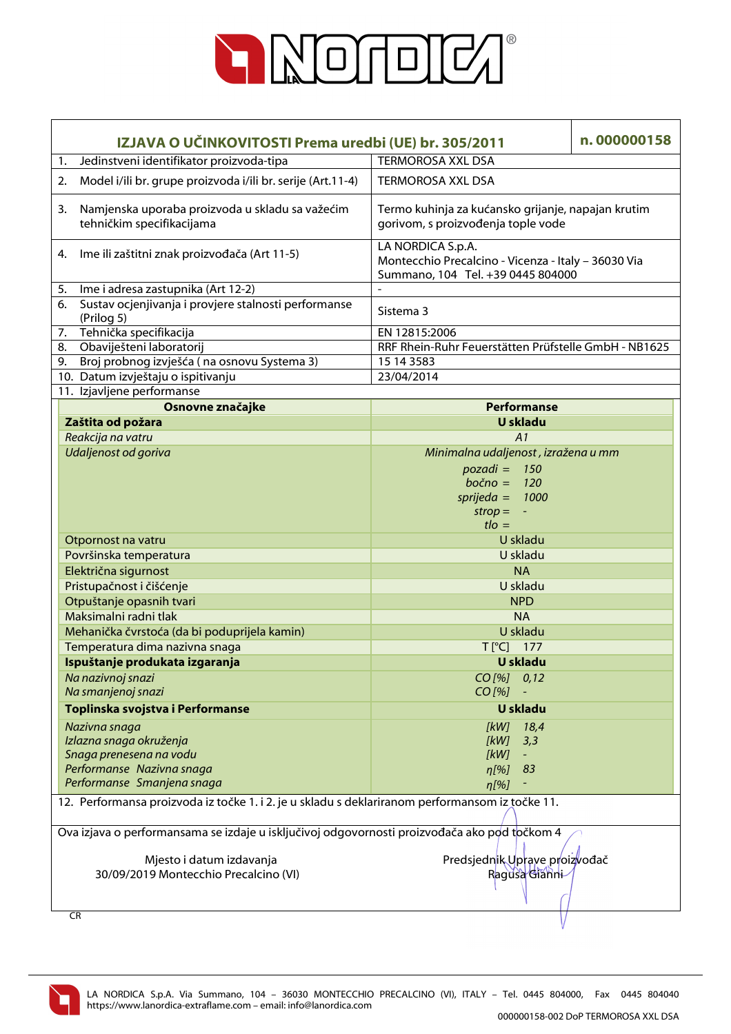

| IZJAVA O UČINKOVITOSTI Prema uredbi (UE) br. 305/2011                                           |                                                                              |                                                                                                               | n.000000158 |  |
|-------------------------------------------------------------------------------------------------|------------------------------------------------------------------------------|---------------------------------------------------------------------------------------------------------------|-------------|--|
| 1.                                                                                              | Jedinstveni identifikator proizvoda-tipa                                     | <b>TERMOROSA XXL DSA</b>                                                                                      |             |  |
| 2.                                                                                              | Model i/ili br. grupe proizvoda i/ili br. serije (Art.11-4)                  | <b>TERMOROSA XXL DSA</b>                                                                                      |             |  |
| 3.                                                                                              | Namjenska uporaba proizvoda u skladu sa važećim<br>tehničkim specifikacijama | Termo kuhinja za kućansko grijanje, napajan krutim<br>gorivom, s proizvođenja tople vode                      |             |  |
| 4.                                                                                              | Ime ili zaštitni znak proizvođača (Art 11-5)                                 | LA NORDICA S.p.A.<br>Montecchio Precalcino - Vicenza - Italy - 36030 Via<br>Summano, 104 Tel. +39 0445 804000 |             |  |
| 5.                                                                                              | Ime i adresa zastupnika (Art 12-2)                                           |                                                                                                               |             |  |
| 6.                                                                                              | Sustav ocjenjivanja i provjere stalnosti performanse<br>(Prilog 5)           | Sistema 3                                                                                                     |             |  |
| 7.                                                                                              | Tehnička specifikacija                                                       | EN 12815:2006                                                                                                 |             |  |
|                                                                                                 | 8. Obaviješteni laboratorij                                                  | RRF Rhein-Ruhr Feuerstätten Prüfstelle GmbH - NB1625                                                          |             |  |
| 9.                                                                                              | Broj probnog izvješća (na osnovu Systema 3)                                  | 15 14 3583                                                                                                    |             |  |
|                                                                                                 | 10. Datum izvještaju o ispitivanju                                           | 23/04/2014                                                                                                    |             |  |
|                                                                                                 | 11. Izjavljene performanse                                                   |                                                                                                               |             |  |
|                                                                                                 | Osnovne značajke                                                             | <b>Performanse</b>                                                                                            |             |  |
|                                                                                                 | Zaštita od požara                                                            | <b>U</b> skladu                                                                                               |             |  |
|                                                                                                 | Reakcija na vatru                                                            | A1                                                                                                            |             |  |
|                                                                                                 | Udaljenost od goriva                                                         | Minimalna udaljenost, izražena u mm                                                                           |             |  |
|                                                                                                 |                                                                              | 150<br>$pozadi =$                                                                                             |             |  |
|                                                                                                 |                                                                              | $bočno =$<br><b>120</b>                                                                                       |             |  |
|                                                                                                 |                                                                              | $sprijeda =$<br>1000                                                                                          |             |  |
|                                                                                                 |                                                                              | $strop = -$                                                                                                   |             |  |
|                                                                                                 |                                                                              | $t \cdot l$                                                                                                   |             |  |
|                                                                                                 | Otpornost na vatru                                                           | U skladu                                                                                                      |             |  |
|                                                                                                 | Površinska temperatura                                                       | U skladu                                                                                                      |             |  |
|                                                                                                 | Električna sigurnost                                                         | <b>NA</b>                                                                                                     |             |  |
|                                                                                                 | Pristupačnost i čišćenje                                                     | U skladu                                                                                                      |             |  |
|                                                                                                 | Otpuštanje opasnih tvari                                                     | <b>NPD</b>                                                                                                    |             |  |
|                                                                                                 | Maksimalni radni tlak                                                        | <b>NA</b>                                                                                                     |             |  |
|                                                                                                 | Mehanička čvrstoća (da bi poduprijela kamin)                                 | U skladu                                                                                                      |             |  |
|                                                                                                 | Temperatura dima nazivna snaga                                               | $T[^{\circ}C]$ 177                                                                                            |             |  |
|                                                                                                 | Ispuštanje produkata izgaranja                                               | <b>U</b> skladu                                                                                               |             |  |
|                                                                                                 | Na nazivnoj snazi                                                            | $CO$ [%] $0,12$                                                                                               |             |  |
|                                                                                                 | Na smanjenoj snazi                                                           | $CO$ [%]                                                                                                      |             |  |
|                                                                                                 | Toplinska svojstva i Performanse                                             | <b>U</b> skladu                                                                                               |             |  |
|                                                                                                 | Nazivna snaga                                                                | [kW]<br>18,4                                                                                                  |             |  |
|                                                                                                 | Izlazna snaga okruženja                                                      | [kW]<br>3,3                                                                                                   |             |  |
|                                                                                                 | Snaga prenesena na vodu                                                      | [kW]                                                                                                          |             |  |
|                                                                                                 | Performanse Nazivna snaga                                                    | η[%]<br>83                                                                                                    |             |  |
|                                                                                                 | Performanse Smanjena snaga                                                   | n[%]                                                                                                          |             |  |
| 12. Performansa proizvoda iz točke 1. i 2. je u skladu s deklariranom performansom iz točke 11. |                                                                              |                                                                                                               |             |  |
| Ova izjava o performansama se izdaje u isključivoj odgovornosti proizvođača ako pod točkom 4    |                                                                              |                                                                                                               |             |  |
|                                                                                                 | Mjesto i datum izdavanja<br>30/09/2019 Montecchio Precalcino (VI)            | Predsjednik Uprave proizvođač<br>Ragusa Gianni                                                                |             |  |
|                                                                                                 | CR                                                                           |                                                                                                               |             |  |

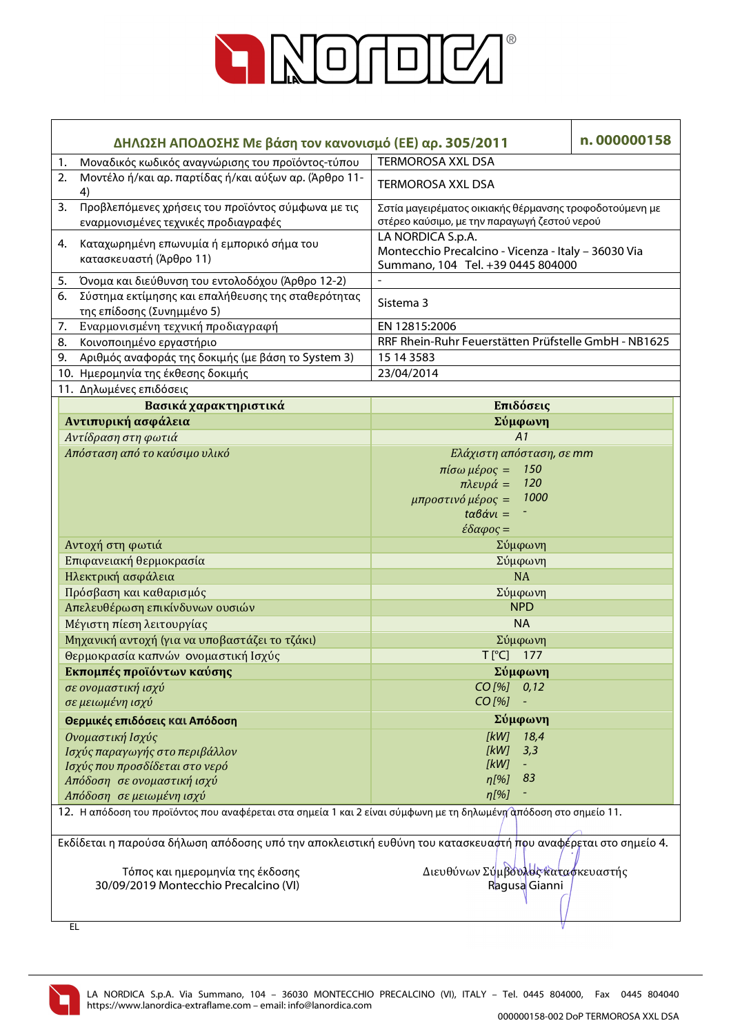

| ΔΗΛΩΣΗ ΑΠΟΔΟΣΗΣ Με βάση τον κανονισμό (ΕΕ) αρ. 305/2011                                                           | n.000000158                                                                                                                                                                       |  |
|-------------------------------------------------------------------------------------------------------------------|-----------------------------------------------------------------------------------------------------------------------------------------------------------------------------------|--|
| Μοναδικός κωδικός αναγνώρισης του προϊόντος-τύπου<br>1.                                                           | <b>TERMOROSA XXL DSA</b>                                                                                                                                                          |  |
| Μοντέλο ή/και αρ. παρτίδας ή/και αύξων αρ. (Άρθρο 11-<br>2.<br>4)                                                 | <b>TERMOROSA XXL DSA</b>                                                                                                                                                          |  |
| Προβλεπόμενες χρήσεις του προϊόντος σύμφωνα με τις<br>3.<br>εναρμονισμένες τεχνικές προδιαγραφές                  | Σστία μαγειρέματος οικιακής θέρμανσης τροφοδοτούμενη με<br>στέρεο καύσιμο, με την παραγωγή ζεστού νερού                                                                           |  |
| Καταχωρημένη επωνυμία ή εμπορικό σήμα του<br>4.<br>κατασκευαστή (Άρθρο 11)                                        | LA NORDICA S.p.A.<br>Montecchio Precalcino - Vicenza - Italy - 36030 Via<br>Summano, 104 Tel. +39 0445 804000                                                                     |  |
| Όνομα και διεύθυνση του εντολοδόχου (Άρθρο 12-2)<br>5.                                                            |                                                                                                                                                                                   |  |
| Σύστημα εκτίμησης και επαλήθευσης της σταθερότητας<br>6.<br>της επίδοσης (Συνημμένο 5)                            | Sistema 3                                                                                                                                                                         |  |
| Εναρμονισμένη τεχνική προδιαγραφή<br>7.                                                                           | EN 12815:2006                                                                                                                                                                     |  |
| Κοινοποιημένο εργαστήριο<br>8.                                                                                    | RRF Rhein-Ruhr Feuerstätten Prüfstelle GmbH - NB1625                                                                                                                              |  |
| Αριθμός αναφοράς της δοκιμής (με βάση το System 3)<br>9.                                                          | 15 14 3583                                                                                                                                                                        |  |
| 10. Ημερομηνία της έκθεσης δοκιμής                                                                                | 23/04/2014                                                                                                                                                                        |  |
| 11. Δηλωμένες επιδόσεις                                                                                           |                                                                                                                                                                                   |  |
| Βασικά χαρακτηριστικά                                                                                             | Επιδόσεις                                                                                                                                                                         |  |
| Αντιπυρική ασφάλεια                                                                                               | Σύμφωνη                                                                                                                                                                           |  |
| Αντίδραση στη φωτιά                                                                                               | A1                                                                                                                                                                                |  |
| Απόσταση από το καύσιμο υλικό                                                                                     | Ελάχιστη απόσταση, σε mm<br>$πίσω μέρος =$<br>150<br>120<br>$πλευρά =$<br>1000<br>μπροστινό μέρος =<br>$t\alpha\beta\dot{\alpha}v\iota=$<br>$\epsilon \delta \alpha \varphi$ ος = |  |
| Αντοχή στη φωτιά                                                                                                  | Σύμφωνη                                                                                                                                                                           |  |
| Επιφανειακή θερμοκρασία                                                                                           | Σύμφωνη                                                                                                                                                                           |  |
| Ηλεκτρική ασφάλεια                                                                                                | <b>NA</b>                                                                                                                                                                         |  |
| Πρόσβαση και καθαρισμός                                                                                           | Σύμφωνη                                                                                                                                                                           |  |
| Απελευθέρωση επικίνδυνων ουσιών                                                                                   | <b>NPD</b>                                                                                                                                                                        |  |
| Μέγιστη πίεση λειτουργίας                                                                                         | <b>NA</b>                                                                                                                                                                         |  |
| Μηχανική αντοχή (για να υποβαστάζει το τζάκι)                                                                     | Σύμφωνη                                                                                                                                                                           |  |
| Θερμοκρασία καπνών ονομαστική Ισχύς                                                                               | T [°C] 177                                                                                                                                                                        |  |
| Εκπομπές προϊόντων καύσης                                                                                         | Σύμφωνη                                                                                                                                                                           |  |
| σε ονομαστική ισχύ                                                                                                | $CO$ [%] $0,12$                                                                                                                                                                   |  |
| σε μειωμένη ισχύ                                                                                                  | CO [%]                                                                                                                                                                            |  |
| Θερμικές επιδόσεις και Απόδοση                                                                                    | Σύμφωνη                                                                                                                                                                           |  |
| Ονομαστική Ισχύς                                                                                                  | [kW]<br>18,4                                                                                                                                                                      |  |
| Ισχύς παραγωγής στο περιβάλλον                                                                                    | [kW]<br>3,3                                                                                                                                                                       |  |
| Ισχύς που προσδίδεται στο νερό                                                                                    | [kW]                                                                                                                                                                              |  |
| Απόδοση σε ονομαστική ισχύ                                                                                        | 83<br>$\eta$ [%]                                                                                                                                                                  |  |
| Απόδοση σε μειωμένη ισχύ                                                                                          | $\eta$ [%]                                                                                                                                                                        |  |
| 12. Η απόδοση του προϊόντος που αναφέρεται στα σημεία 1 και 2 είναι σύμφωνη με τη δηλωμένη απόδοση στο σημείο 11. |                                                                                                                                                                                   |  |
| Εκδίδεται η παρούσα δήλωση απόδοσης υπό την αποκλειστική ευθύνη του κατασκευαστή πρυ αναφέρεται στο σημείο 4.     |                                                                                                                                                                                   |  |
| Τόπος και ημερομηνία της έκδοσης<br>30/09/2019 Montecchio Precalcino (VI)                                         | Διευθύνων Σύμβουλος καταφκευαστής<br>Ragusa Gianni                                                                                                                                |  |
| EL.                                                                                                               |                                                                                                                                                                                   |  |



LA NORDICA S.p.A. Via Summano, 104 – 36030 MONTECCHIO PRECALCINO (VI), ITALY – Tel. 0445 804000, Fax 0445 804040 https://www.lanordica-extraflame.com – email: info@lanordica.com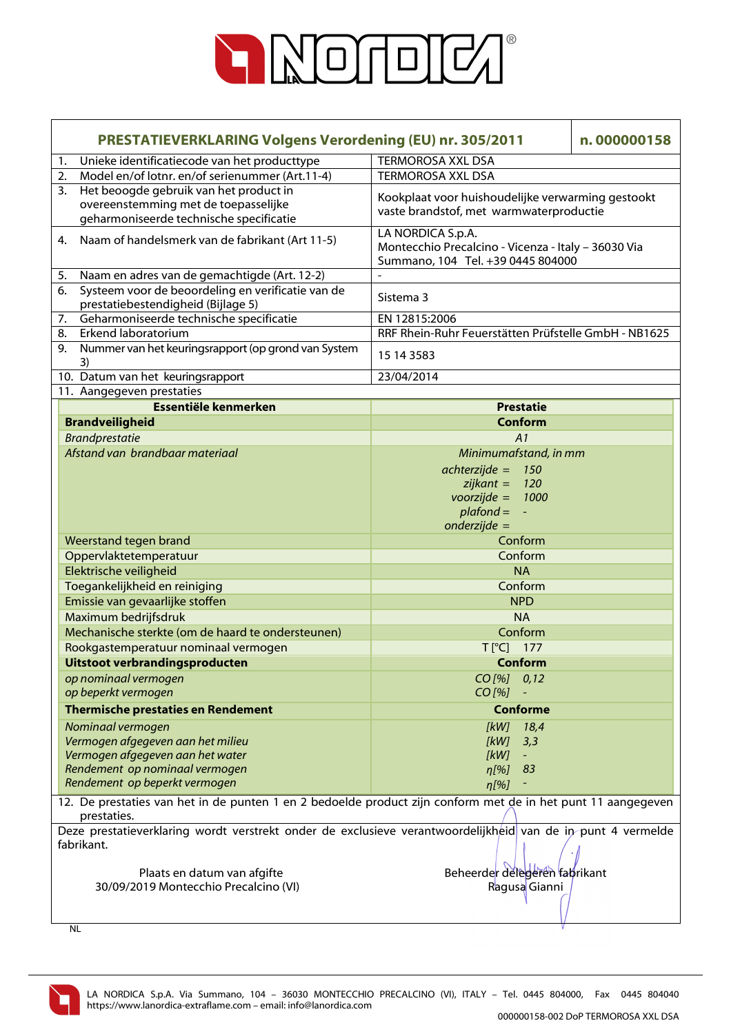

| <b>PRESTATIEVERKLARING Volgens Verordening (EU) nr. 305/2011</b>                                                            |                                                                                                             |                                                                                                               | n.000000158 |
|-----------------------------------------------------------------------------------------------------------------------------|-------------------------------------------------------------------------------------------------------------|---------------------------------------------------------------------------------------------------------------|-------------|
| 1.                                                                                                                          | Unieke identificatiecode van het producttype                                                                | <b>TERMOROSA XXL DSA</b>                                                                                      |             |
| 2.                                                                                                                          | Model en/of lotnr. en/of serienummer (Art.11-4)                                                             | <b>TERMOROSA XXL DSA</b>                                                                                      |             |
| 3.                                                                                                                          | Het beoogde gebruik van het product in                                                                      |                                                                                                               |             |
|                                                                                                                             | overeenstemming met de toepasselijke                                                                        | Kookplaat voor huishoudelijke verwarming gestookt<br>vaste brandstof, met warmwaterproductie                  |             |
|                                                                                                                             | geharmoniseerde technische specificatie                                                                     |                                                                                                               |             |
| 4.                                                                                                                          | Naam of handelsmerk van de fabrikant (Art 11-5)                                                             | LA NORDICA S.p.A.<br>Montecchio Precalcino - Vicenza - Italy - 36030 Via<br>Summano, 104 Tel. +39 0445 804000 |             |
| 5.                                                                                                                          | Naam en adres van de gemachtigde (Art. 12-2)                                                                |                                                                                                               |             |
| 6.                                                                                                                          | Systeem voor de beoordeling en verificatie van de<br>prestatiebestendigheid (Bijlage 5)                     | Sistema 3                                                                                                     |             |
| 7.                                                                                                                          | Geharmoniseerde technische specificatie                                                                     | EN 12815:2006                                                                                                 |             |
|                                                                                                                             | Erkend laboratorium<br>8.                                                                                   | RRF Rhein-Ruhr Feuerstätten Prüfstelle GmbH - NB1625                                                          |             |
| 9.                                                                                                                          | Nummer van het keuringsrapport (op grond van System<br>3)                                                   | 15 14 3583                                                                                                    |             |
|                                                                                                                             | 10. Datum van het keuringsrapport                                                                           | 23/04/2014                                                                                                    |             |
|                                                                                                                             | 11. Aangegeven prestaties                                                                                   |                                                                                                               |             |
|                                                                                                                             | Essentiële kenmerken                                                                                        | <b>Prestatie</b>                                                                                              |             |
|                                                                                                                             | <b>Brandveiligheid</b>                                                                                      | <b>Conform</b>                                                                                                |             |
|                                                                                                                             | <b>Brandprestatie</b>                                                                                       | A1                                                                                                            |             |
|                                                                                                                             | Afstand van brandbaar materiaal                                                                             | Minimumafstand, in mm                                                                                         |             |
|                                                                                                                             |                                                                                                             | $achterzijde =$<br>150                                                                                        |             |
|                                                                                                                             |                                                                                                             | $zijkant =$<br><b>120</b>                                                                                     |             |
|                                                                                                                             |                                                                                                             | $voorzijde =$<br>1000                                                                                         |             |
|                                                                                                                             |                                                                                                             | $plafond =$<br>$\sim$                                                                                         |             |
|                                                                                                                             |                                                                                                             | $onderzijde =$                                                                                                |             |
|                                                                                                                             | Weerstand tegen brand                                                                                       | Conform                                                                                                       |             |
|                                                                                                                             | Oppervlaktetemperatuur                                                                                      | Conform                                                                                                       |             |
|                                                                                                                             | Elektrische veiligheid                                                                                      | <b>NA</b>                                                                                                     |             |
|                                                                                                                             | Toegankelijkheid en reiniging                                                                               | Conform                                                                                                       |             |
|                                                                                                                             | Emissie van gevaarlijke stoffen                                                                             | <b>NPD</b>                                                                                                    |             |
|                                                                                                                             | Maximum bedrijfsdruk                                                                                        | <b>NA</b>                                                                                                     |             |
|                                                                                                                             | Mechanische sterkte (om de haard te ondersteunen)                                                           | Conform                                                                                                       |             |
|                                                                                                                             | Rookgastemperatuur nominaal vermogen                                                                        | $T[^{°}C]$ 177                                                                                                |             |
|                                                                                                                             | Uitstoot verbrandingsproducten                                                                              | Conform                                                                                                       |             |
|                                                                                                                             | op nominaal vermogen                                                                                        | CO[%] 0,12                                                                                                    |             |
|                                                                                                                             | op beperkt vermogen                                                                                         | $CO$ [%]                                                                                                      |             |
|                                                                                                                             | <b>Thermische prestaties en Rendement</b>                                                                   | <b>Conforme</b>                                                                                               |             |
|                                                                                                                             | Nominaal vermogen                                                                                           | [kW]<br>18,4                                                                                                  |             |
|                                                                                                                             | Vermogen afgegeven aan het milieu                                                                           | [kW]<br>3,3                                                                                                   |             |
|                                                                                                                             | Vermogen afgegeven aan het water                                                                            | [kW]                                                                                                          |             |
|                                                                                                                             | Rendement op nominaal vermogen<br>Rendement op beperkt vermogen                                             | $\eta$ [%]<br>83                                                                                              |             |
|                                                                                                                             |                                                                                                             | $\eta$ [%]                                                                                                    |             |
| 12. De prestaties van het in de punten 1 en 2 bedoelde product zijn conform met de in het punt 11 aangegeven<br>prestaties. |                                                                                                             |                                                                                                               |             |
|                                                                                                                             | Deze prestatieverklaring wordt verstrekt onder de exclusieve verantwoordelijkheid van de in punt 4 vermelde |                                                                                                               |             |
|                                                                                                                             | fabrikant.                                                                                                  |                                                                                                               |             |
|                                                                                                                             |                                                                                                             |                                                                                                               |             |
| Plaats en datum van afgifte<br>30/09/2019 Montecchio Precalcino (VI)                                                        |                                                                                                             | Beheerder delegeren fabrikant<br>Ragusa Gianni                                                                |             |
|                                                                                                                             |                                                                                                             |                                                                                                               |             |
|                                                                                                                             |                                                                                                             |                                                                                                               |             |

NL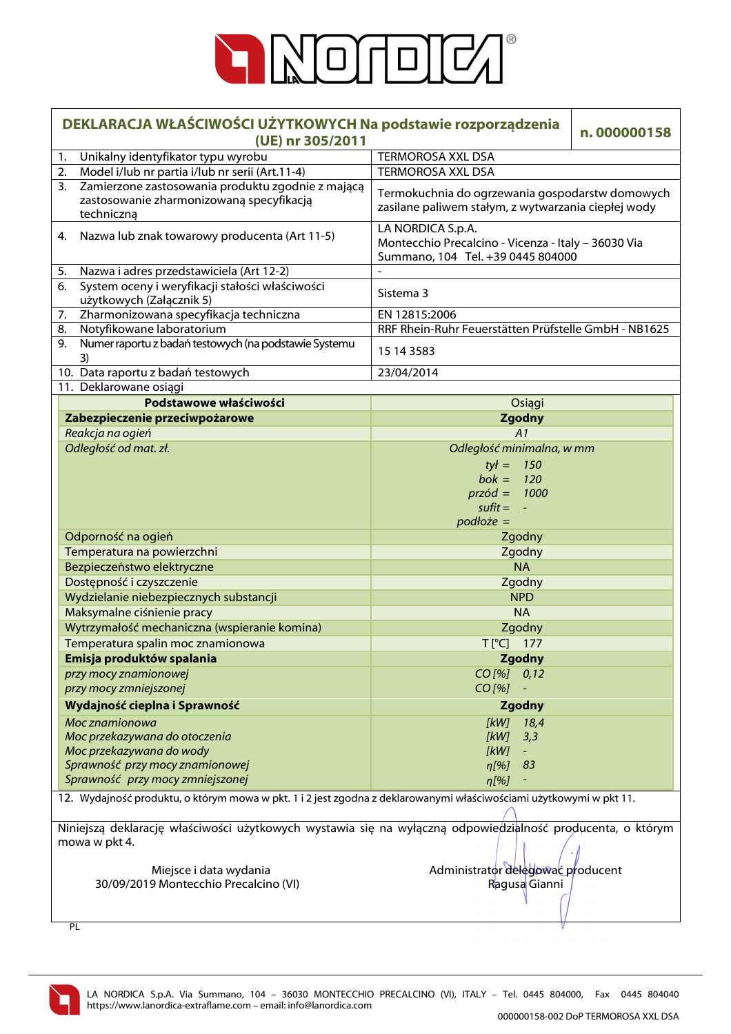

| DEKLARACJA WŁAŚCIWOŚCI UŻYTKOWYCH Na podstawie rozporządzenia<br>(UE) nr 305/2011                                  | n.000000158                                                                                                   |  |  |  |
|--------------------------------------------------------------------------------------------------------------------|---------------------------------------------------------------------------------------------------------------|--|--|--|
| Unikalny identyfikator typu wyrobu<br>1.                                                                           | <b>TERMOROSA XXL DSA</b>                                                                                      |  |  |  |
| Model i/lub nr partia i/lub nr serii (Art.11-4)<br>2.                                                              | <b>TERMOROSA XXL DSA</b>                                                                                      |  |  |  |
| Zamierzone zastosowania produktu zgodnie z mającą<br>3.<br>zastosowanie zharmonizowaną specyfikacją<br>techniczną  | Termokuchnia do ogrzewania gospodarstw domowych<br>zasilane paliwem stałym, z wytwarzania ciepłej wody        |  |  |  |
| Nazwa lub znak towarowy producenta (Art 11-5)<br>4.                                                                | LA NORDICA S.p.A.<br>Montecchio Precalcino - Vicenza - Italy - 36030 Via<br>Summano, 104 Tel. +39 0445 804000 |  |  |  |
| Nazwa i adres przedstawiciela (Art 12-2)<br>5.                                                                     |                                                                                                               |  |  |  |
| 6.<br>System oceny i weryfikacji stałości właściwości<br>użytkowych (Załącznik 5)                                  | Sistema 3                                                                                                     |  |  |  |
| Zharmonizowana specyfikacja techniczna<br>7.                                                                       | EN 12815:2006                                                                                                 |  |  |  |
| Notyfikowane laboratorium<br>8.                                                                                    | RRF Rhein-Ruhr Feuerstätten Prüfstelle GmbH - NB1625                                                          |  |  |  |
| Numer raportu z badań testowych (na podstawie Systemu<br>9.<br>3)                                                  | 15 14 3583                                                                                                    |  |  |  |
| 10. Data raportu z badań testowych                                                                                 | 23/04/2014                                                                                                    |  |  |  |
| 11. Deklarowane osiągi                                                                                             |                                                                                                               |  |  |  |
| Podstawowe właściwości                                                                                             | Osiągi                                                                                                        |  |  |  |
| Zabezpieczenie przeciwpożarowe                                                                                     | <b>Zgodny</b>                                                                                                 |  |  |  |
| Reakcja na ogień                                                                                                   | A1                                                                                                            |  |  |  |
| Odległość od mat. zł.                                                                                              | Odległość minimalna, w mm                                                                                     |  |  |  |
|                                                                                                                    | $tyf =$<br>150<br>$b$ ok =<br>120                                                                             |  |  |  |
|                                                                                                                    | $przód = 1000$                                                                                                |  |  |  |
|                                                                                                                    | $s$ ufit $=$<br>$\omega$                                                                                      |  |  |  |
|                                                                                                                    | $podłoże =$                                                                                                   |  |  |  |
| Odporność na ogień                                                                                                 | Zgodny                                                                                                        |  |  |  |
| Temperatura na powierzchni                                                                                         | Zgodny                                                                                                        |  |  |  |
| Bezpieczeństwo elektryczne                                                                                         | <b>NA</b>                                                                                                     |  |  |  |
| Dostępność i czyszczenie                                                                                           | Zgodny                                                                                                        |  |  |  |
| Wydzielanie niebezpiecznych substancji                                                                             | <b>NPD</b>                                                                                                    |  |  |  |
| Maksymalne ciśnienie pracy                                                                                         | <b>NA</b>                                                                                                     |  |  |  |
| Wytrzymałość mechaniczna (wspieranie komina)                                                                       | Zgodny                                                                                                        |  |  |  |
| Temperatura spalin moc znamionowa                                                                                  | $T[^{\circ}C]$ 177                                                                                            |  |  |  |
| Emisja produktów spalania                                                                                          | Zgodny                                                                                                        |  |  |  |
| przy mocy znamionowej<br>przy mocy zmniejszonej                                                                    | $CO$ [%] $0,12$<br>$CO$ [%]                                                                                   |  |  |  |
| Wydajność cieplna i Sprawność                                                                                      | Zgodny                                                                                                        |  |  |  |
| Moc znamionowa                                                                                                     | <b>IkWI</b><br>18,4                                                                                           |  |  |  |
| Moc przekazywana do otoczenia                                                                                      | [kW]<br>3,3                                                                                                   |  |  |  |
| Moc przekazywana do wody                                                                                           | [kW]                                                                                                          |  |  |  |
| Sprawność przy mocy znamionowej                                                                                    | n[%]<br>83                                                                                                    |  |  |  |
| Sprawność przy mocy zmniejszonej                                                                                   | $\eta$ [%]                                                                                                    |  |  |  |
| 12. Wydajność produktu, o którym mowa w pkt. 1 i 2 jest zgodna z deklarowanymi właściwościami użytkowymi w pkt 11. |                                                                                                               |  |  |  |
|                                                                                                                    |                                                                                                               |  |  |  |
| Niniejszą deklarację właściwości użytkowych wystawia się na wyłączną odpowiedzialność producenta, o którym         |                                                                                                               |  |  |  |
| mowa w pkt 4.                                                                                                      |                                                                                                               |  |  |  |
|                                                                                                                    |                                                                                                               |  |  |  |
| Miejsce i data wydania                                                                                             | Administrator delegować producent                                                                             |  |  |  |
| 30/09/2019 Montecchio Precalcino (VI)                                                                              | Ragusa Gianni                                                                                                 |  |  |  |
|                                                                                                                    |                                                                                                               |  |  |  |

V